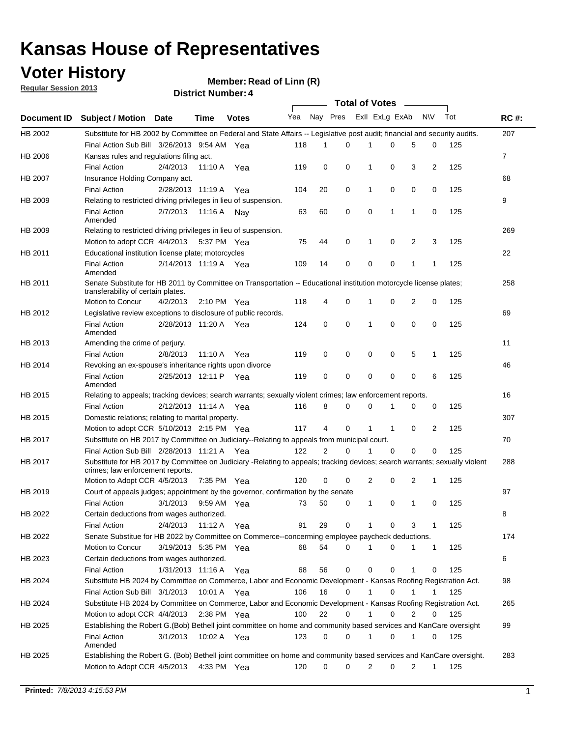### **Voter History**

**Member: Read of Linn (R)** 

**Regular Session 2013**

|             |                                                                                                                            |          |                       |              |              |                | Total of Votes ______ |                |   |                |              |     |                |
|-------------|----------------------------------------------------------------------------------------------------------------------------|----------|-----------------------|--------------|--------------|----------------|-----------------------|----------------|---|----------------|--------------|-----|----------------|
| Document ID | Subject / Motion Date                                                                                                      |          | <b>Time</b>           | <b>Votes</b> | Yea Nay Pres |                |                       | Exll ExLg ExAb |   |                | N\V          | Tot | <b>RC#:</b>    |
| HB 2002     | Substitute for HB 2002 by Committee on Federal and State Affairs -- Legislative post audit; financial and security audits. |          |                       |              |              |                |                       |                |   |                |              |     | 207            |
|             | Final Action Sub Bill 3/26/2013 9:54 AM Yea                                                                                |          |                       |              | 118          | 1              | 0                     |                | 0 | 5              | 0            | 125 |                |
| HB 2006     | Kansas rules and regulations filing act.                                                                                   |          |                       |              |              |                |                       |                |   |                |              |     | $\overline{7}$ |
|             | <b>Final Action</b>                                                                                                        | 2/4/2013 | 11:10 A               | Yea          | 119          | 0              | 0                     | 1              | 0 | 3              | 2            | 125 |                |
| HB 2007     | Insurance Holding Company act.                                                                                             |          |                       |              |              |                |                       |                |   |                |              |     | 68             |
|             | <b>Final Action</b>                                                                                                        |          | 2/28/2013 11:19 A     | Yea          | 104          | 20             | 0                     | 1              | 0 | 0              | 0            | 125 |                |
| HB 2009     | Relating to restricted driving privileges in lieu of suspension.                                                           |          |                       |              |              |                |                       |                |   |                |              |     | 9              |
|             | <b>Final Action</b>                                                                                                        | 2/7/2013 | 11:16 A Nay           |              | 63           | 60             | 0                     | 0              | 1 | 1              | 0            | 125 |                |
|             | Amended                                                                                                                    |          |                       |              |              |                |                       |                |   |                |              |     |                |
| HB 2009     | Relating to restricted driving privileges in lieu of suspension.                                                           |          |                       |              |              |                |                       |                |   |                |              |     | 269            |
|             | Motion to adopt CCR 4/4/2013                                                                                               |          | 5:37 PM Yea           |              | 75           | 44             | 0                     | 1              | 0 | 2              | 3            | 125 |                |
| HB 2011     | Educational institution license plate; motorcycles                                                                         |          |                       |              |              |                |                       |                |   |                |              |     | 22             |
|             | <b>Final Action</b>                                                                                                        |          | 2/14/2013 11:19 A Yea |              | 109          | 14             | 0                     | 0              | 0 | 1              | 1            | 125 |                |
|             | Amended                                                                                                                    |          |                       |              |              |                |                       |                |   |                |              |     |                |
| HB 2011     | Senate Substitute for HB 2011 by Committee on Transportation -- Educational institution motorcycle license plates;         |          |                       |              |              |                |                       |                |   |                |              |     | 258            |
|             | transferability of certain plates.                                                                                         |          |                       |              |              |                |                       |                |   |                |              |     |                |
|             | Motion to Concur                                                                                                           | 4/2/2013 | 2:10 PM $Yea$         |              | 118          | 4              | 0                     | 1              | 0 | $\overline{2}$ | 0            | 125 |                |
| HB 2012     | Legislative review exceptions to disclosure of public records.                                                             |          |                       |              |              |                |                       |                |   |                |              |     | 69             |
|             | <b>Final Action</b>                                                                                                        |          | 2/28/2013 11:20 A Yea |              | 124          | 0              | 0                     | 1              | 0 | 0              | $\mathbf 0$  | 125 |                |
|             | Amended                                                                                                                    |          |                       |              |              |                |                       |                |   |                |              |     |                |
| HB 2013     | Amending the crime of perjury.                                                                                             |          |                       |              |              |                |                       |                |   |                |              |     | 11             |
|             | <b>Final Action</b>                                                                                                        | 2/8/2013 | 11:10 A               | Yea          | 119          | 0              | 0                     | 0              | 0 | 5              | 1            | 125 |                |
| HB 2014     | Revoking an ex-spouse's inheritance rights upon divorce                                                                    |          |                       |              |              |                |                       |                |   |                |              |     | 46             |
|             | <b>Final Action</b>                                                                                                        |          | 2/25/2013 12:11 P Yea |              | 119          | 0              | 0                     | 0              | 0 | 0              | 6            | 125 |                |
|             | Amended                                                                                                                    |          |                       |              |              |                |                       |                |   |                |              |     |                |
| HB 2015     | Relating to appeals; tracking devices; search warrants; sexually violent crimes; law enforcement reports.                  |          |                       |              |              |                |                       |                |   |                |              |     | 16             |
|             | <b>Final Action</b>                                                                                                        |          | 2/12/2013 11:14 A     | Yea          | 116          | 8              | 0                     | 0              | 1 | 0              | 0            | 125 |                |
| HB 2015     | Domestic relations; relating to marital property.                                                                          |          |                       |              |              |                |                       |                |   |                |              |     | 307            |
|             | Motion to adopt CCR 5/10/2013 2:15 PM Yea                                                                                  |          |                       |              | 117          | 4              | $\mathbf 0$           | $\mathbf{1}$   | 1 | 0              | 2            | 125 |                |
| HB 2017     | Substitute on HB 2017 by Committee on Judiciary--Relating to appeals from municipal court.                                 |          |                       |              |              |                |                       |                |   |                |              |     | 70             |
|             | Final Action Sub Bill 2/28/2013 11:21 A Yea                                                                                |          |                       |              | 122          | $\overline{2}$ | 0                     | 1              | 0 | 0              | 0            | 125 |                |
| HB 2017     | Substitute for HB 2017 by Committee on Judiciary -Relating to appeals; tracking devices; search warrants; sexually violent |          |                       |              |              |                |                       |                |   |                |              |     | 288            |
|             | crimes; law enforcement reports.                                                                                           |          |                       |              |              |                |                       |                |   |                |              |     |                |
|             | Motion to Adopt CCR 4/5/2013                                                                                               |          | 7:35 PM Yea           |              | 120          | 0              | 0                     | 2              | 0 | 2              | 1            | 125 |                |
| HB 2019     | Court of appeals judges; appointment by the governor, confirmation by the senate                                           |          |                       |              |              |                |                       |                |   |                |              |     | 97             |
|             | <b>Final Action</b>                                                                                                        | 3/1/2013 | 9:59 AM Yea           |              | 73           | 50             | 0                     | 1              | 0 | 1              | 0            | 125 |                |
| HB 2022     | Certain deductions from wages authorized.                                                                                  |          |                       |              |              |                |                       |                |   |                |              |     | В              |
|             | <b>Final Action</b>                                                                                                        | 2/4/2013 | 11:12 A               | Yea          | 91           | 29             | 0                     |                | 0 | 3              | 1            | 125 |                |
| HB 2022     | Senate Substitue for HB 2022 by Committee on Commerce--concerming employee paycheck deductions.                            |          |                       |              |              |                |                       |                |   |                |              |     | 174            |
|             | Motion to Concur                                                                                                           |          | 3/19/2013 5:35 PM Yea |              | 68           | 54             | 0                     | 1              | 0 | 1              | 1            | 125 |                |
| HB 2023     | Certain deductions from wages authorized.                                                                                  |          |                       |              |              |                |                       |                |   |                |              |     | 6              |
|             | <b>Final Action</b>                                                                                                        |          | 1/31/2013 11:16 A Yea |              | 68           | 56             | 0                     | 0              | 0 | 1              | 0            | 125 |                |
| HB 2024     | Substitute HB 2024 by Committee on Commerce, Labor and Economic Development - Kansas Roofing Registration Act.             |          |                       |              |              |                |                       |                |   |                |              |     | 98             |
|             |                                                                                                                            |          |                       |              |              |                |                       | 1              |   |                |              |     |                |
|             | Final Action Sub Bill 3/1/2013                                                                                             |          | 10:01 A Yea           |              | 106          | 16             | 0                     |                | 0 | 1              | 1            | 125 |                |
| HB 2024     | Substitute HB 2024 by Committee on Commerce, Labor and Economic Development - Kansas Roofing Registration Act.             |          |                       |              |              |                |                       |                |   |                |              |     | 265            |
|             | Motion to adopt CCR 4/4/2013                                                                                               |          | 2:38 PM $Yea$         |              | 100          | 22             | 0                     | 1              | 0 | $\overline{2}$ | 0            | 125 |                |
| HB 2025     | Establishing the Robert G.(Bob) Bethell joint committee on home and community based services and KanCare oversight         |          |                       |              |              |                |                       |                |   |                |              |     | 99             |
|             | Final Action                                                                                                               | 3/1/2013 | 10:02 A Yea           |              | 123          | 0              | 0                     | $\mathbf{1}$   | 0 | 1              | 0            | 125 |                |
|             | Amended                                                                                                                    |          |                       |              |              |                |                       |                |   |                |              |     |                |
| HB 2025     | Establishing the Robert G. (Bob) Bethell joint committee on home and community based services and KanCare oversight.       |          |                       |              |              |                |                       |                |   |                |              |     | 283            |
|             | Motion to Adopt CCR 4/5/2013                                                                                               |          | 4:33 PM Yea           |              | 120          | 0              | 0                     | 2              | 0 | 2              | $\mathbf{1}$ | 125 |                |
|             |                                                                                                                            |          |                       |              |              |                |                       |                |   |                |              |     |                |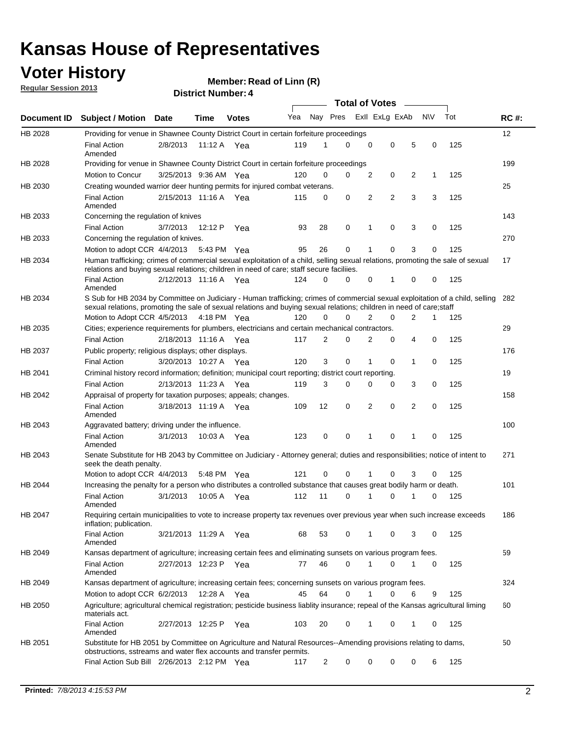### **Voter History**

**Member: Read of Linn (R)** 

**Regular Session 2013**

|                |                                                                                                                                                                                                                                                        |                       |             |              |     |    | <b>Total of Votes</b>   |             |   |                |           |     |             |
|----------------|--------------------------------------------------------------------------------------------------------------------------------------------------------------------------------------------------------------------------------------------------------|-----------------------|-------------|--------------|-----|----|-------------------------|-------------|---|----------------|-----------|-----|-------------|
| Document ID    | <b>Subject / Motion</b>                                                                                                                                                                                                                                | Date                  | Time        | <b>Votes</b> | Yea |    | Nay Pres Exll ExLg ExAb |             |   |                | <b>NV</b> | Tot | <b>RC#:</b> |
| HB 2028        | Providing for venue in Shawnee County District Court in certain forfeiture proceedings                                                                                                                                                                 |                       |             |              |     |    |                         |             |   |                |           |     | 12          |
|                | <b>Final Action</b><br>Amended                                                                                                                                                                                                                         | 2/8/2013              | 11:12 A Yea |              | 119 | 1  | $\Omega$                | $\mathbf 0$ | 0 | 5              | 0         | 125 |             |
| HB 2028        | Providing for venue in Shawnee County District Court in certain forfeiture proceedings                                                                                                                                                                 |                       |             |              |     |    |                         |             |   |                |           |     | 199         |
|                | Motion to Concur                                                                                                                                                                                                                                       | 3/25/2013 9:36 AM Yea |             |              | 120 | 0  | 0                       | 2           | 0 | 2              | 1         | 125 |             |
| HB 2030        | Creating wounded warrior deer hunting permits for injured combat veterans.                                                                                                                                                                             |                       |             |              |     |    |                         |             |   |                |           |     | 25          |
|                | <b>Final Action</b><br>Amended                                                                                                                                                                                                                         | 2/15/2013 11:16 A     |             | Yea          | 115 | 0  | 0                       | 2           | 2 | 3              | 3         | 125 |             |
| HB 2033        | Concerning the regulation of knives                                                                                                                                                                                                                    |                       |             |              |     |    |                         |             |   |                |           |     | 143         |
|                | <b>Final Action</b>                                                                                                                                                                                                                                    | 3/7/2013              | 12:12 P     | Yea          | 93  | 28 | 0                       | 1           | 0 | 3              | 0         | 125 |             |
| HB 2033        | Concerning the regulation of knives.                                                                                                                                                                                                                   |                       |             |              |     |    |                         |             |   |                |           |     | 270         |
|                | Motion to adopt CCR 4/4/2013                                                                                                                                                                                                                           |                       | 5:43 PM Yea |              | 95  | 26 | 0                       |             | 0 | 3              | 0         | 125 |             |
| HB 2034        | Human trafficking; crimes of commercial sexual exploitation of a child, selling sexual relations, promoting the sale of sexual<br>relations and buying sexual relations; children in need of care; staff secure faciliies.                             |                       |             |              |     |    |                         |             |   |                |           |     | 17          |
|                | <b>Final Action</b><br>Amended                                                                                                                                                                                                                         | 2/12/2013 11:16 A Yea |             |              | 124 | 0  | 0                       | 0           | 1 | 0              | 0         | 125 |             |
| HB 2034        | S Sub for HB 2034 by Committee on Judiciary - Human trafficking; crimes of commercial sexual exploitation of a child, selling<br>sexual relations, promoting the sale of sexual relations and buying sexual relations; children in need of care; staff |                       |             |              |     |    |                         |             |   |                |           |     | 282         |
|                | Motion to Adopt CCR 4/5/2013 4:18 PM Yea                                                                                                                                                                                                               |                       |             |              | 120 | 0  | 0                       | 2           | 0 | $\overline{2}$ | 1         | 125 |             |
| HB 2035        | Cities; experience requirements for plumbers, electricians and certain mechanical contractors.                                                                                                                                                         |                       |             |              |     |    |                         |             |   |                |           |     | 29          |
|                | <b>Final Action</b>                                                                                                                                                                                                                                    | 2/18/2013 11:16 A     |             | Yea          | 117 | 2  | 0                       | 2           | 0 | 4              | 0         | 125 |             |
| HB 2037        | Public property; religious displays; other displays.                                                                                                                                                                                                   |                       |             |              |     |    |                         |             |   |                |           |     | 176         |
|                | <b>Final Action</b>                                                                                                                                                                                                                                    | 3/20/2013 10:27 A Yea |             |              | 120 | 3  | 0                       | 1           | 0 | 1              | 0         | 125 |             |
| HB 2041        | Criminal history record information; definition; municipal court reporting; district court reporting.                                                                                                                                                  |                       |             |              |     |    |                         |             |   |                |           |     | 19          |
|                | <b>Final Action</b>                                                                                                                                                                                                                                    | 2/13/2013 11:23 A     |             | Yea          | 119 | 3  | 0                       | 0           | 0 | 3              | 0         | 125 |             |
| HB 2042        | Appraisal of property for taxation purposes; appeals; changes.                                                                                                                                                                                         |                       |             |              |     |    |                         |             |   |                |           |     | 158         |
|                | <b>Final Action</b><br>Amended                                                                                                                                                                                                                         | 3/18/2013 11:19 A     |             | Yea          | 109 | 12 | 0                       | 2           | 0 | 2              | 0         | 125 |             |
| HB 2043        | Aggravated battery; driving under the influence.                                                                                                                                                                                                       |                       |             |              |     |    |                         |             |   |                |           |     | 100         |
|                | <b>Final Action</b><br>Amended                                                                                                                                                                                                                         | 3/1/2013              | 10:03 A Yea |              | 123 | 0  | 0                       | 1           | 0 | 1              | 0         | 125 |             |
| HB 2043        | Senate Substitute for HB 2043 by Committee on Judiciary - Attorney general; duties and responsibilities; notice of intent to<br>seek the death penalty.                                                                                                |                       |             |              |     |    |                         |             |   |                |           |     | 271         |
|                | Motion to adopt CCR 4/4/2013                                                                                                                                                                                                                           |                       | 5:48 PM Yea |              | 121 | 0  | 0                       |             | 0 | 3              | 0         | 125 |             |
| <b>HB 2044</b> | Increasing the penalty for a person who distributes a controlled substance that causes great bodily harm or death.                                                                                                                                     |                       |             |              |     |    |                         |             |   |                |           |     | 101         |
|                | <b>Final Action</b><br>Amended                                                                                                                                                                                                                         | 3/1/2013              | 10:05 A     | Yea          | 112 | 11 | $\Omega$                | 1           | 0 | 1              | 0         | 125 |             |
| HB 2047        | Requiring certain municipalities to vote to increase property tax revenues over previous year when such increase exceeds<br>inflation; publication.                                                                                                    |                       |             |              |     |    |                         |             |   |                |           |     | 186         |
|                | <b>Final Action</b><br>Amended                                                                                                                                                                                                                         | 3/21/2013 11:29 A Yea |             |              | 68  | 53 | 0                       |             | 0 | 3              | 0         | 125 |             |
| HB 2049        | Kansas department of agriculture; increasing certain fees and eliminating sunsets on various program fees.                                                                                                                                             |                       |             |              |     |    |                         |             |   |                |           |     | 59          |
|                | <b>Final Action</b><br>Amended                                                                                                                                                                                                                         | 2/27/2013 12:23 P Yea |             |              | 77  | 46 | 0                       |             | 0 | 1              | 0         | 125 |             |
| HB 2049        | Kansas department of agriculture; increasing certain fees; concerning sunsets on various program fees.                                                                                                                                                 |                       |             |              |     |    |                         |             |   |                |           |     | 324         |
|                | Motion to adopt CCR 6/2/2013                                                                                                                                                                                                                           |                       | 12:28 A     | Yea          | 45  | 64 | 0                       | 1           | 0 | 6              | 9         | 125 |             |
| HB 2050        | Agriculture; agricultural chemical registration; pesticide business liablity insurance; repeal of the Kansas agricultural liming<br>materials act.                                                                                                     |                       |             |              |     |    |                         |             |   |                |           |     | 60          |
|                | <b>Final Action</b><br>Amended                                                                                                                                                                                                                         | 2/27/2013 12:25 P     |             | Yea          | 103 | 20 | 0                       | 1           | 0 | 1              | 0         | 125 |             |
| HB 2051        | Substitute for HB 2051 by Committee on Agriculture and Natural Resources--Amending provisions relating to dams,<br>obstructions, sstreams and water flex accounts and transfer permits.                                                                |                       |             |              |     |    |                         |             |   |                |           |     | 50          |
|                | Final Action Sub Bill 2/26/2013 2:12 PM Yea                                                                                                                                                                                                            |                       |             |              | 117 | 2  | 0                       | 0           | 0 | 0              | 6         | 125 |             |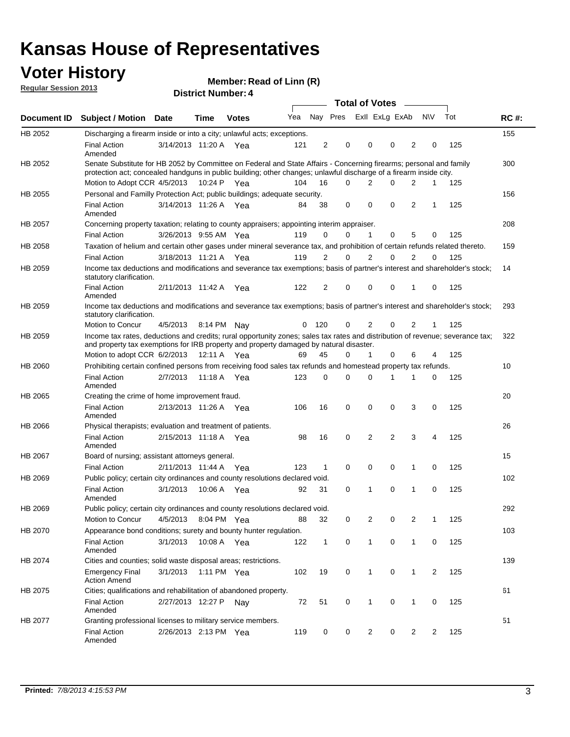### **Voter History**

**Member: Read of Linn (R)** 

**Regular Session 2013**

|                    |                                                                                                                                                                                                                                          |                       |             | ר . וסעוווער ועוווסוש |     |                |          | Total of Votes – |   |                |                |     |             |
|--------------------|------------------------------------------------------------------------------------------------------------------------------------------------------------------------------------------------------------------------------------------|-----------------------|-------------|-----------------------|-----|----------------|----------|------------------|---|----------------|----------------|-----|-------------|
| <b>Document ID</b> | <b>Subject / Motion</b>                                                                                                                                                                                                                  | <b>Date</b>           | <b>Time</b> | <b>Votes</b>          | Yea |                | Nay Pres | Exll ExLg ExAb   |   |                | <b>NV</b>      | Tot | <b>RC#:</b> |
| HB 2052            | Discharging a firearm inside or into a city; unlawful acts; exceptions.                                                                                                                                                                  |                       |             |                       |     |                |          |                  |   |                |                |     | 155         |
|                    | <b>Final Action</b><br>Amended                                                                                                                                                                                                           | 3/14/2013 11:20 A Yea |             |                       | 121 | 2              | 0        | 0                | 0 | 2              | 0              | 125 |             |
| HB 2052            | Senate Substitute for HB 2052 by Committee on Federal and State Affairs - Concerning firearms; personal and family<br>protection act; concealed handguns in public building; other changes; unlawful discharge of a firearm inside city. |                       |             |                       |     |                |          |                  |   |                |                |     | 300         |
|                    | Motion to Adopt CCR 4/5/2013                                                                                                                                                                                                             |                       |             | 10:24 P Yea           | 104 | 16             | $\Omega$ | 2                | 0 | 2              | 1              | 125 |             |
| HB 2055            | Personal and Familly Protection Act; public buildings; adequate security.                                                                                                                                                                |                       |             |                       |     |                |          |                  |   |                |                |     | 156         |
|                    | <b>Final Action</b><br>Amended                                                                                                                                                                                                           | 3/14/2013 11:26 A Yea |             |                       | 84  | 38             | 0        | $\mathbf 0$      | 0 | 2              | 1              | 125 |             |
| HB 2057            | Concerning property taxation; relating to county appraisers; appointing interim appraiser.                                                                                                                                               |                       |             |                       |     |                |          |                  |   |                |                |     | 208         |
|                    | <b>Final Action</b>                                                                                                                                                                                                                      | 3/26/2013 9:55 AM Yea |             |                       | 119 | 0              | 0        | 1                | 0 | 5              | 0              | 125 |             |
| HB 2058            | Taxation of helium and certain other gases under mineral severance tax, and prohibition of certain refunds related thereto.                                                                                                              |                       |             |                       |     |                |          |                  |   |                |                |     | 159         |
|                    | <b>Final Action</b>                                                                                                                                                                                                                      | 3/18/2013 11:21 A Yea |             |                       | 119 | 2              | 0        | 2                | 0 | 2              | $\Omega$       | 125 |             |
| HB 2059            | Income tax deductions and modifications and severance tax exemptions; basis of partner's interest and shareholder's stock;<br>statutory clarification.                                                                                   |                       |             |                       |     |                |          |                  |   |                |                |     | 14          |
|                    | <b>Final Action</b><br>Amended                                                                                                                                                                                                           | 2/11/2013 11:42 A     |             | Yea                   | 122 | $\overline{2}$ | 0        | 0                | 0 | 1              | 0              | 125 |             |
| HB 2059            | Income tax deductions and modifications and severance tax exemptions; basis of partner's interest and shareholder's stock;<br>statutory clarification.                                                                                   |                       |             |                       |     |                |          |                  |   |                |                |     | 293         |
|                    | Motion to Concur                                                                                                                                                                                                                         | 4/5/2013              |             | 8:14 PM Nay           | 0   | 120            | 0        | $\overline{2}$   | 0 | $\overline{2}$ | 1              | 125 |             |
| HB 2059            | Income tax rates, deductions and credits; rural opportunity zones; sales tax rates and distribution of revenue; severance tax;<br>and property tax exemptions for IRB property and property damaged by natural disaster.                 |                       |             |                       |     |                |          |                  |   |                |                |     | 322         |
|                    | Motion to adopt CCR 6/2/2013                                                                                                                                                                                                             |                       |             | 12:11 A Yea           | 69  | 45             | 0        | $\mathbf{1}$     | 0 | 6              | 4              | 125 |             |
| <b>HB 2060</b>     | Prohibiting certain confined persons from receiving food sales tax refunds and homestead property tax refunds.                                                                                                                           |                       |             |                       |     |                |          |                  |   |                |                |     | 10          |
|                    | <b>Final Action</b><br>Amended                                                                                                                                                                                                           | 2/7/2013              | 11:18 A     | Yea                   | 123 | 0              | 0        | $\Omega$         | 1 | 1              | 0              | 125 |             |
| HB 2065            | Creating the crime of home improvement fraud.                                                                                                                                                                                            |                       |             |                       |     |                |          |                  |   |                |                |     | 20          |
|                    | <b>Final Action</b><br>Amended                                                                                                                                                                                                           | 2/13/2013 11:26 A Yea |             |                       | 106 | 16             | 0        | $\mathbf 0$      | 0 | 3              | 0              | 125 |             |
| HB 2066            | Physical therapists; evaluation and treatment of patients.                                                                                                                                                                               |                       |             |                       |     |                |          |                  |   |                |                |     | 26          |
|                    | <b>Final Action</b><br>Amended                                                                                                                                                                                                           | 2/15/2013 11:18 A Yea |             |                       | 98  | 16             | 0        | 2                | 2 | 3              | 4              | 125 |             |
| HB 2067            | Board of nursing; assistant attorneys general.                                                                                                                                                                                           |                       |             |                       |     |                |          |                  |   |                |                |     | 15          |
|                    | <b>Final Action</b>                                                                                                                                                                                                                      | 2/11/2013 11:44 A Yea |             |                       | 123 | $\mathbf{1}$   | 0        | 0                | 0 | 1              | 0              | 125 |             |
| HB 2069            | Public policy; certain city ordinances and county resolutions declared void.                                                                                                                                                             |                       |             |                       |     |                |          |                  |   |                |                |     | 102         |
|                    | <b>Final Action</b><br>Amended                                                                                                                                                                                                           | 3/1/2013              |             | 10:06 A Yea           | 92  | 31             | $\Omega$ | 1                | 0 | 1              | 0              | 125 |             |
| HB 2069            | Public policy; certain city ordinances and county resolutions declared void.                                                                                                                                                             |                       |             |                       |     |                |          |                  |   |                |                |     | 292         |
|                    | Motion to Concur                                                                                                                                                                                                                         | 4/5/2013              |             | 8:04 PM Yea           | 88  | 32             | 0        | 2                | 0 | $\overline{2}$ | 1              | 125 |             |
| HB 2070            | Appearance bond conditions; surety and bounty hunter regulation.                                                                                                                                                                         |                       |             |                       |     |                |          |                  |   |                |                |     | 103         |
|                    | <b>Final Action</b><br>Amended                                                                                                                                                                                                           | 3/1/2013              |             | 10:08 A Yea           | 122 | $\mathbf{1}$   | 0        | $\mathbf{1}$     | 0 | $\mathbf 1$    | 0              | 125 |             |
| HB 2074            | Cities and counties; solid waste disposal areas; restrictions.                                                                                                                                                                           |                       |             |                       |     |                |          |                  |   |                |                |     | 139         |
|                    | <b>Emergency Final</b><br><b>Action Amend</b>                                                                                                                                                                                            | 3/1/2013              |             | 1:11 PM Yea           | 102 | 19             | 0        | 1                | 0 | 1              | $\overline{2}$ | 125 |             |
| HB 2075            | Cities; qualifications and rehabilitation of abandoned property.                                                                                                                                                                         |                       |             |                       |     |                |          |                  |   |                |                |     | 61          |
|                    | <b>Final Action</b><br>Amended                                                                                                                                                                                                           | 2/27/2013 12:27 P     |             | Nav                   | 72  | 51             | 0        | 1                | 0 | 1              | 0              | 125 |             |
| HB 2077            | Granting professional licenses to military service members.<br><b>Final Action</b><br>Amended                                                                                                                                            | 2/26/2013 2:13 PM Yea |             |                       | 119 | 0              | 0        | $\overline{2}$   | 0 | $\overline{2}$ | 2              | 125 | 51          |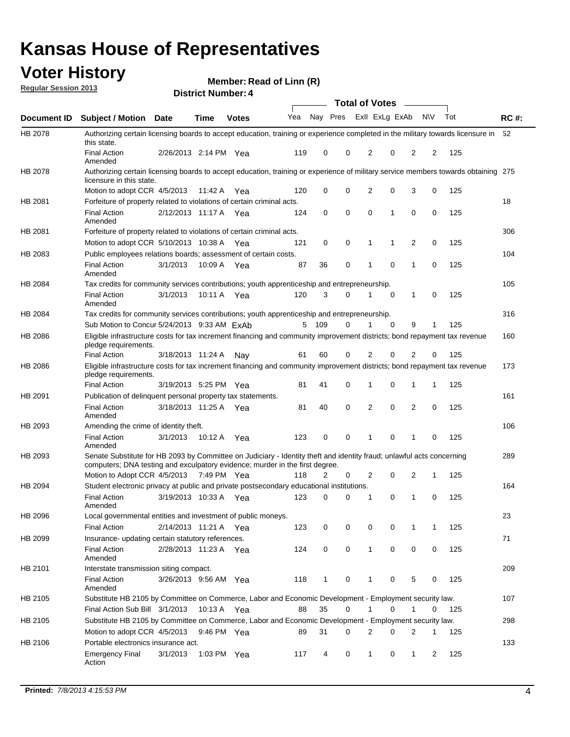### **Voter History**

**Member: Read of Linn (R)** 

| <b>Regular Session 2013</b> |  |
|-----------------------------|--|
|                             |  |

|                    |                                                                                                                                                                                                       |                       | ר . וסעוווארו ועוווסוע |              |     |              |   | <b>Total of Votes</b> |             | $\sim$         |             |     |             |
|--------------------|-------------------------------------------------------------------------------------------------------------------------------------------------------------------------------------------------------|-----------------------|------------------------|--------------|-----|--------------|---|-----------------------|-------------|----------------|-------------|-----|-------------|
| <b>Document ID</b> | <b>Subject / Motion Date</b>                                                                                                                                                                          |                       | <b>Time</b>            | <b>Votes</b> |     | Yea Nay Pres |   | Exll ExLg ExAb        |             |                | <b>NV</b>   | Tot | <b>RC#:</b> |
| HB 2078            | Authorizing certain licensing boards to accept education, training or experience completed in the military towards licensure in<br>this state.                                                        |                       |                        |              |     |              |   |                       |             |                |             |     | 52          |
|                    | <b>Final Action</b><br>Amended                                                                                                                                                                        | 2/26/2013 2:14 PM Yea |                        |              | 119 | 0            | 0 | 2                     | 0           | 2              | 2           | 125 |             |
| HB 2078            | Authorizing certain licensing boards to accept education, training or experience of military service members towards obtaining 275<br>licensure in this state.                                        |                       |                        |              |     |              |   |                       |             |                |             |     |             |
|                    | Motion to adopt CCR 4/5/2013                                                                                                                                                                          |                       | 11:42 A                | Yea          | 120 | 0            | 0 | $\overline{2}$        | 0           | 3              | 0           | 125 |             |
| HB 2081            | Forfeiture of property related to violations of certain criminal acts.                                                                                                                                |                       |                        |              |     |              |   |                       |             |                |             |     | 18          |
|                    | <b>Final Action</b><br>Amended                                                                                                                                                                        | 2/12/2013 11:17 A Yea |                        |              | 124 | 0            | 0 | $\Omega$              | 1           | 0              | 0           | 125 |             |
| HB 2081            | Forfeiture of property related to violations of certain criminal acts.                                                                                                                                |                       |                        |              |     |              |   |                       |             |                |             |     | 306         |
|                    | Motion to adopt CCR 5/10/2013 10:38 A                                                                                                                                                                 |                       |                        | Yea          | 121 | 0            | 0 | 1                     | 1           | 2              | 0           | 125 |             |
| HB 2083            | Public employees relations boards; assessment of certain costs.                                                                                                                                       |                       |                        |              |     |              |   |                       |             |                |             |     | 104         |
|                    | <b>Final Action</b><br>Amended                                                                                                                                                                        | 3/1/2013              | 10:09 A                | Yea          | 87  | 36           | 0 | 1                     | $\mathbf 0$ | 1              | $\mathbf 0$ | 125 |             |
| HB 2084            | Tax credits for community services contributions; youth apprenticeship and entrepreneurship.                                                                                                          |                       |                        |              |     |              |   |                       |             |                |             |     | 105         |
|                    | <b>Final Action</b><br>Amended                                                                                                                                                                        | 3/1/2013              | 10:11 A                | Yea          | 120 | 3            | 0 | 1                     | $\mathbf 0$ | 1              | 0           | 125 |             |
| HB 2084            | Tax credits for community services contributions; youth apprenticeship and entrepreneurship.                                                                                                          |                       |                        |              |     |              |   |                       |             |                |             |     | 316         |
|                    | Sub Motion to Concur 5/24/2013 9:33 AM ExAb                                                                                                                                                           |                       |                        |              | 5   | - 109        | 0 |                       | $\Omega$    | 9              | 1           | 125 |             |
| HB 2086            | Eligible infrastructure costs for tax increment financing and community improvement districts; bond repayment tax revenue<br>pledge requirements.                                                     |                       |                        |              |     |              |   |                       |             |                |             |     | 160         |
|                    | <b>Final Action</b>                                                                                                                                                                                   | 3/18/2013 11:24 A     |                        | Nav          | 61  | 60           | 0 | 2                     | 0           | $\overline{2}$ | 0           | 125 |             |
| HB 2086            | Eligible infrastructure costs for tax increment financing and community improvement districts; bond repayment tax revenue<br>pledge requirements.                                                     |                       |                        |              |     |              |   |                       |             |                |             |     | 173         |
|                    | <b>Final Action</b>                                                                                                                                                                                   | 3/19/2013 5:25 PM     |                        | Yea          | 81  | 41           | 0 | 1                     | 0           | 1              | 1           | 125 |             |
| HB 2091            | Publication of delinguent personal property tax statements.                                                                                                                                           |                       |                        |              |     |              |   |                       |             |                |             |     | 161         |
|                    | <b>Final Action</b><br>Amended                                                                                                                                                                        | 3/18/2013 11:25 A     |                        | Yea          | 81  | 40           | 0 | 2                     | 0           | $\overline{2}$ | 0           | 125 |             |
| HB 2093            | Amending the crime of identity theft.                                                                                                                                                                 |                       |                        |              |     |              |   |                       |             |                |             |     | 106         |
|                    | <b>Final Action</b><br>Amended                                                                                                                                                                        | 3/1/2013              | 10:12 A                | Yea          | 123 | 0            | 0 | 1                     | $\Omega$    | 1              | 0           | 125 |             |
| HB 2093            | Senate Substitute for HB 2093 by Committee on Judiciary - Identity theft and identity fraud; unlawful acts concerning<br>computers; DNA testing and exculpatory evidence; murder in the first degree. |                       |                        |              |     |              |   |                       |             |                |             |     | 289         |
|                    | Motion to Adopt CCR 4/5/2013 7:49 PM Yea                                                                                                                                                              |                       |                        |              | 118 | 2            | 0 | 2                     | 0           | 2              | 1           | 125 |             |
| HB 2094            | Student electronic privacy at public and private postsecondary educational institutions.                                                                                                              |                       |                        |              |     |              |   |                       |             |                |             |     | 164         |
|                    | <b>Final Action</b><br>Amended                                                                                                                                                                        | 3/19/2013 10:33 A     |                        | Yea          | 123 | 0            | 0 | 1                     | 0           | 1              | 0           | 125 |             |
| HB 2096            | Local governmental entities and investment of public moneys.                                                                                                                                          |                       |                        |              |     |              |   |                       |             |                |             |     | 23          |
|                    | <b>Final Action</b>                                                                                                                                                                                   | 2/14/2013 11:21 A     |                        | Yea          | 123 | 0            | 0 | 0                     | 0           | 1              | 1           | 125 |             |
| HB 2099            | Insurance- updating certain statutory references.                                                                                                                                                     |                       |                        |              |     |              |   |                       |             |                |             |     | 71          |
|                    | <b>Final Action</b><br>Amended                                                                                                                                                                        | 2/28/2013 11:23 A     |                        | Yea          | 124 | 0            | 0 | 1                     | 0           | 0              | 0           | 125 |             |
| HB 2101            | Interstate transmission siting compact.                                                                                                                                                               |                       |                        |              |     |              |   |                       |             |                |             |     | 209         |
|                    | <b>Final Action</b><br>Amended                                                                                                                                                                        | 3/26/2013 9:56 AM Yea |                        |              | 118 | $\mathbf{1}$ | 0 | 1                     | 0           | 5              | 0           | 125 |             |
| HB 2105            | Substitute HB 2105 by Committee on Commerce, Labor and Economic Development - Employment security law.                                                                                                |                       |                        |              |     |              |   |                       |             |                |             |     | 107         |
|                    | Final Action Sub Bill 3/1/2013                                                                                                                                                                        |                       | 10:13 A Yea            |              | 88  | 35           | 0 |                       | 0           | 1              | 0           | 125 |             |
| HB 2105            | Substitute HB 2105 by Committee on Commerce, Labor and Economic Development - Employment security law.                                                                                                |                       |                        |              |     |              |   |                       |             |                |             |     | 298         |
|                    | Motion to adopt CCR 4/5/2013                                                                                                                                                                          |                       | 9:46 PM Yea            |              | 89  | 31           | 0 | 2                     | 0           | 2              | 1           | 125 |             |
| HB 2106            | Portable electronics insurance act.                                                                                                                                                                   |                       |                        |              |     |              |   |                       |             |                |             |     | 133         |
|                    | <b>Emergency Final</b><br>Action                                                                                                                                                                      | 3/1/2013              | 1:03 PM Yea            |              | 117 | 4            | 0 | $\mathbf{1}$          | 0           | $\mathbf{1}$   | 2           | 125 |             |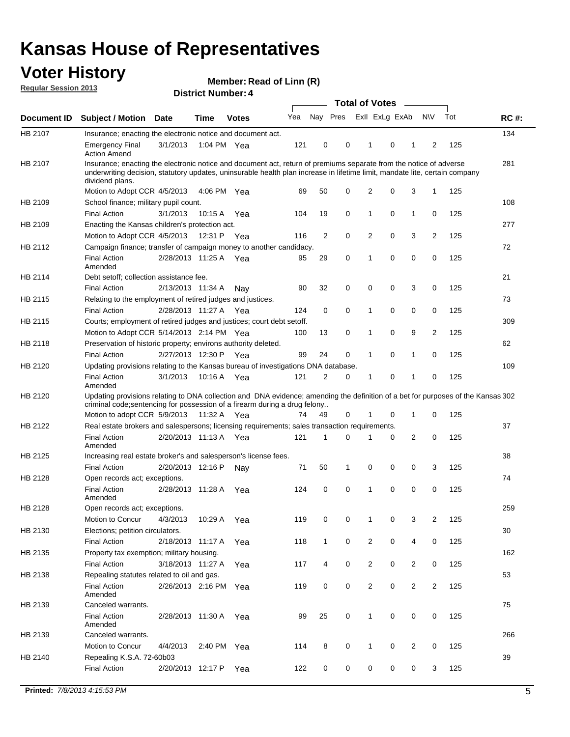### **Voter History**

**Member: Read of Linn (R)** 

**Regular Session 2013**

|             |                                                                                                                                                                                                                                                                      |                       |             |              |     |                         | <b>Total of Votes</b> |                |   | $\overline{\phantom{a}}$ |                |     |             |
|-------------|----------------------------------------------------------------------------------------------------------------------------------------------------------------------------------------------------------------------------------------------------------------------|-----------------------|-------------|--------------|-----|-------------------------|-----------------------|----------------|---|--------------------------|----------------|-----|-------------|
| Document ID | <b>Subject / Motion</b>                                                                                                                                                                                                                                              | <b>Date</b>           | <b>Time</b> | <b>Votes</b> | Yea | Nay Pres Exll ExLg ExAb |                       |                |   |                          | <b>NV</b>      | Tot | <b>RC#:</b> |
| HB 2107     | Insurance; enacting the electronic notice and document act.                                                                                                                                                                                                          |                       |             |              |     |                         |                       |                |   |                          |                |     | 134         |
|             | <b>Emergency Final</b><br><b>Action Amend</b>                                                                                                                                                                                                                        | 3/1/2013              | 1:04 PM Yea |              | 121 | 0                       | 0                     | 1              | 0 | 1                        | 2              | 125 |             |
| HB 2107     | Insurance; enacting the electronic notice and document act, return of premiums separate from the notice of adverse<br>underwriting decision, statutory updates, uninsurable health plan increase in lifetime limit, mandate lite, certain company<br>dividend plans. |                       |             |              |     |                         |                       |                |   |                          |                |     | 281         |
|             | Motion to Adopt CCR 4/5/2013                                                                                                                                                                                                                                         |                       | 4:06 PM Yea |              | 69  | 50                      | 0                     | 2              | 0 | 3                        | 1              | 125 |             |
| HB 2109     | School finance; military pupil count.                                                                                                                                                                                                                                |                       |             |              |     |                         |                       |                |   |                          |                |     | 108         |
|             | <b>Final Action</b>                                                                                                                                                                                                                                                  | 3/1/2013              | 10:15 A     | Yea          | 104 | 19                      | 0                     | 1              | 0 | $\mathbf{1}$             | 0              | 125 |             |
| HB 2109     | Enacting the Kansas children's protection act.                                                                                                                                                                                                                       |                       |             |              |     |                         |                       |                |   |                          |                |     | 277         |
|             | Motion to Adopt CCR 4/5/2013                                                                                                                                                                                                                                         |                       | 12:31 P Yea |              | 116 | 2                       | 0                     | 2              | 0 | 3                        | 2              | 125 |             |
| HB 2112     | Campaign finance; transfer of campaign money to another candidacy.                                                                                                                                                                                                   |                       |             |              |     |                         |                       |                |   |                          |                |     | 72          |
|             | <b>Final Action</b><br>Amended                                                                                                                                                                                                                                       | 2/28/2013 11:25 A Yea |             |              | 95  | 29                      | 0                     | 1              | 0 | 0                        | 0              | 125 |             |
| HB 2114     | Debt setoff; collection assistance fee.                                                                                                                                                                                                                              |                       |             |              |     |                         |                       |                |   |                          |                |     | 21          |
|             | <b>Final Action</b>                                                                                                                                                                                                                                                  | 2/13/2013 11:34 A     |             | Nay          | 90  | 32                      | 0                     | 0              | 0 | 3                        | 0              | 125 |             |
| HB 2115     | Relating to the employment of retired judges and justices.                                                                                                                                                                                                           |                       |             |              |     |                         |                       |                |   |                          |                |     | 73          |
|             | <b>Final Action</b>                                                                                                                                                                                                                                                  | 2/28/2013 11:27 A     |             | Yea          | 124 | 0                       | 0                     | 1              | 0 | 0                        | 0              | 125 |             |
| HB 2115     | Courts; employment of retired judges and justices; court debt setoff.                                                                                                                                                                                                |                       |             |              |     |                         |                       |                |   |                          |                |     | 309         |
|             | Motion to Adopt CCR 5/14/2013 2:14 PM Yea                                                                                                                                                                                                                            |                       |             |              | 100 | 13                      | 0                     | 1              | 0 | 9                        | $\overline{2}$ | 125 |             |
| HB 2118     | Preservation of historic property; environs authority deleted.                                                                                                                                                                                                       |                       |             |              |     |                         |                       |                |   |                          |                |     | 62          |
|             | <b>Final Action</b>                                                                                                                                                                                                                                                  | 2/27/2013 12:30 P     |             | Yea          | 99  | 24                      | 0                     | 1              | 0 | 1                        | 0              | 125 |             |
| HB 2120     | Updating provisions relating to the Kansas bureau of investigations DNA database.                                                                                                                                                                                    |                       |             |              |     |                         |                       |                |   |                          |                |     | 109         |
|             | <b>Final Action</b><br>Amended                                                                                                                                                                                                                                       | 3/1/2013              | 10:16 A     | Yea          | 121 | 2                       | 0                     | 1              | 0 | 1                        | 0              | 125 |             |
| HB 2120     | Updating provisions relating to DNA collection and DNA evidence; amending the definition of a bet for purposes of the Kansas 302<br>criminal code; sentencing for possession of a firearm during a drug felony                                                       |                       |             |              |     |                         |                       |                |   |                          |                |     |             |
|             | Motion to adopt CCR 5/9/2013 11:32 A Yea                                                                                                                                                                                                                             |                       |             |              | 74  | 49                      | 0                     | 1              | 0 | 1                        | 0              | 125 |             |
| HB 2122     | Real estate brokers and salespersons; licensing requirements; sales transaction requirements.                                                                                                                                                                        |                       |             |              |     |                         |                       |                |   |                          |                |     | 37          |
|             | <b>Final Action</b><br>Amended                                                                                                                                                                                                                                       | 2/20/2013 11:13 A Yea |             |              | 121 | 1                       | 0                     |                | 0 | 2                        | 0              | 125 |             |
| HB 2125     | Increasing real estate broker's and salesperson's license fees.                                                                                                                                                                                                      |                       |             |              |     |                         |                       |                |   |                          |                |     | 38          |
|             | <b>Final Action</b>                                                                                                                                                                                                                                                  | 2/20/2013 12:16 P     |             | Nav          | 71  | 50                      | 1                     | 0              | 0 | 0                        | 3              | 125 |             |
| HB 2128     | Open records act; exceptions.                                                                                                                                                                                                                                        |                       |             |              |     |                         |                       |                |   |                          |                |     | 74          |
|             | <b>Final Action</b><br>Amended                                                                                                                                                                                                                                       | 2/28/2013 11:28 A     |             | Yea          | 124 | 0                       | 0                     | 1              | 0 | 0                        | 0              | 125 |             |
| HB 2128     | Open records act; exceptions.                                                                                                                                                                                                                                        |                       |             |              |     |                         |                       |                |   |                          |                |     | 259         |
|             | Motion to Concur                                                                                                                                                                                                                                                     | 4/3/2013              | 10:29 A     | Yea          | 119 | 0                       | 0                     | 1              | 0 | 3                        | $\overline{2}$ | 125 |             |
| HB 2130     | Elections; petition circulators.                                                                                                                                                                                                                                     |                       |             |              |     |                         |                       |                |   |                          |                |     | 30          |
|             | <b>Final Action</b>                                                                                                                                                                                                                                                  | 2/18/2013 11:17 A     |             | Yea          | 118 | $\mathbf{1}$            | 0                     | 2              | 0 | 4                        | 0              | 125 |             |
| HB 2135     | Property tax exemption; military housing.                                                                                                                                                                                                                            |                       |             |              |     |                         |                       |                |   |                          |                |     | 162         |
|             | <b>Final Action</b>                                                                                                                                                                                                                                                  | 3/18/2013 11:27 A     |             | Yea          | 117 | 4                       | 0                     | $\overline{2}$ | 0 | $\overline{2}$           | 0              | 125 |             |
| HB 2138     | Repealing statutes related to oil and gas.                                                                                                                                                                                                                           |                       |             |              |     |                         |                       |                |   |                          |                |     | 53          |
|             | <b>Final Action</b>                                                                                                                                                                                                                                                  | 2/26/2013 2:16 PM Yea |             |              | 119 | 0                       | 0                     | $\overline{2}$ | 0 | $\overline{2}$           | $\overline{2}$ | 125 |             |
|             | Amended                                                                                                                                                                                                                                                              |                       |             |              |     |                         |                       |                |   |                          |                |     |             |
| HB 2139     | Canceled warrants.                                                                                                                                                                                                                                                   |                       |             |              |     |                         |                       |                |   |                          |                |     | 75          |
|             | <b>Final Action</b><br>Amended                                                                                                                                                                                                                                       | 2/28/2013 11:30 A     |             | Yea          | 99  | 25                      | 0                     | $\mathbf{1}$   | 0 | 0                        | 0              | 125 |             |
| HB 2139     | Canceled warrants.                                                                                                                                                                                                                                                   |                       |             |              |     |                         |                       |                |   |                          |                |     | 266         |
|             | Motion to Concur                                                                                                                                                                                                                                                     | 4/4/2013              | 2:40 PM     | Yea          | 114 | 8                       | 0                     | 1              | 0 | 2                        | 0              | 125 |             |
| HB 2140     | Repealing K.S.A. 72-60b03                                                                                                                                                                                                                                            |                       |             |              |     |                         |                       |                |   |                          |                |     | 39          |
|             | <b>Final Action</b>                                                                                                                                                                                                                                                  | 2/20/2013 12:17 P     |             | Yea          | 122 | 0                       | 0                     | 0              | 0 | 0                        | 3              | 125 |             |
|             |                                                                                                                                                                                                                                                                      |                       |             |              |     |                         |                       |                |   |                          |                |     |             |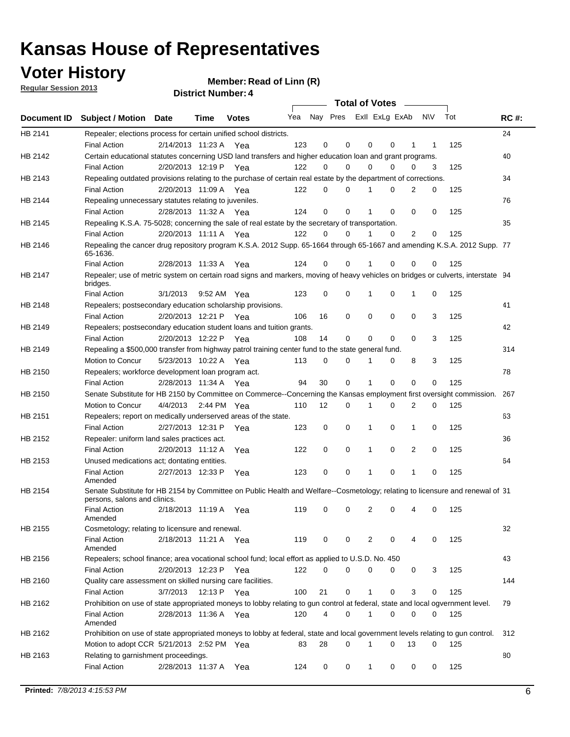**Voter History** 

**Member: Read of Linn (R)** 

|  | <b>Regular Session 2013</b> |  |
|--|-----------------------------|--|
|  |                             |  |

|             |                                                                                                                                                                              |                                        |      |              |                             |                | Total of Votes _____ |              |             |                |             |            |             |
|-------------|------------------------------------------------------------------------------------------------------------------------------------------------------------------------------|----------------------------------------|------|--------------|-----------------------------|----------------|----------------------|--------------|-------------|----------------|-------------|------------|-------------|
| Document ID | <b>Subject / Motion Date</b>                                                                                                                                                 |                                        | Time | <b>Votes</b> | Yea Nay Pres ExII ExLg ExAb |                |                      |              |             |                | N\V         | Tot        | <b>RC#:</b> |
| HB 2141     | Repealer; elections process for certain unified school districts.<br><b>Final Action</b>                                                                                     | 2/14/2013 11:23 A Yea                  |      |              | 123                         | 0              | 0                    | 0            | 0           | 1              | 1           | 125        | 24          |
| HB 2142     | Certain educational statutes concerning USD land transfers and higher education loan and grant programs.<br><b>Final Action</b>                                              | 2/20/2013 12:19 P Yea                  |      |              | 122                         | 0              | $\Omega$             | $\Omega$     | $\Omega$    | 0              | 3           | 125        | 40          |
| HB 2143     | Repealing outdated provisions relating to the purchase of certain real estate by the department of corrections.                                                              |                                        |      |              |                             | 0              | $\Omega$             | 1            | $\Omega$    | 2              |             |            | 34          |
| HB 2144     | <b>Final Action</b><br>Repealing unnecessary statutes relating to juveniles.                                                                                                 | 2/20/2013 11:09 A Yea                  |      |              | 122                         |                |                      |              |             |                | 0           | 125        | 76          |
| HB 2145     | <b>Final Action</b><br>Repealing K.S.A. 75-5028; concerning the sale of real estate by the secretary of transportation.                                                      | 2/28/2013 11:32 A Yea                  |      |              | 124                         | 0              | $\mathbf 0$          | 1            | $\Omega$    | 0              | $\mathbf 0$ | 125        | 35          |
| HB 2146     | <b>Final Action</b><br>Repealing the cancer drug repository program K.S.A. 2012 Supp. 65-1664 through 65-1667 and amending K.S.A. 2012 Supp. 77<br>65-1636.                  | 2/20/2013 11:11 A Yea                  |      |              | 122                         | 0              | $\Omega$             | 1            | $\Omega$    | $\overline{2}$ | 0           | 125        |             |
| HB 2147     | <b>Final Action</b><br>Repealer; use of metric system on certain road signs and markers, moving of heavy vehicles on bridges or culverts, interstate 94<br>bridges.          | 2/28/2013 11:33 A                      |      | Yea          | 124                         | 0              | 0                    |              | 0           | 0              | 0           | 125        |             |
| HB 2148     | <b>Final Action</b><br>Repealers; postsecondary education scholarship provisions.                                                                                            | 3/1/2013                               |      | 9:52 AM Yea  | 123                         | 0              | 0                    | 1            | 0           | 1              | 0           | 125        | 41          |
| HB 2149     | <b>Final Action</b><br>Repealers; postsecondary education student loans and tuition grants.<br><b>Final Action</b>                                                           | 2/20/2013 12:21 P<br>2/20/2013 12:22 P |      | Yea<br>Yea   | 106<br>108                  | 16<br>14       | $\mathbf 0$<br>0     | 0<br>0       | 0<br>0      | 0<br>0         | 3<br>3      | 125<br>125 | 42          |
| HB 2149     | Repealing a \$500,000 transfer from highway patrol training center fund to the state general fund.<br>Motion to Concur                                                       | 5/23/2013 10:22 A Yea                  |      |              | 113                         | 0              | 0                    | 1            | 0           | 8              | 3           | 125        | 314         |
| HB 2150     | Repealers; workforce development loan program act.<br><b>Final Action</b>                                                                                                    | 2/28/2013 11:34 A Yea                  |      |              | 94                          | 30             | $\mathbf 0$          | $\mathbf{1}$ | $\mathbf 0$ | 0              | 0           | 125        | 78          |
| HB 2150     | Senate Substitute for HB 2150 by Committee on Commerce--Concerning the Kansas employment first oversight commission.<br>Motion to Concur                                     | 4/4/2013 2:44 PM Yea                   |      |              | 110                         | 12             | 0                    | 1            | 0           | 2              | 0           | 125        | 267         |
| HB 2151     | Repealers; report on medically underserved areas of the state.<br><b>Final Action</b>                                                                                        | 2/27/2013 12:31 P                      |      | Yea          | 123                         | 0              | $\mathbf 0$          | 1            | 0           | 1              | 0           | 125        | 63          |
| HB 2152     | Repealer: uniform land sales practices act.<br><b>Final Action</b>                                                                                                           | 2/20/2013 11:12 A                      |      | Yea          | 122                         | 0              | 0                    | 1            | 0           | $\overline{2}$ | 0           | 125        | 36          |
| HB 2153     | Unused medications act; dontating entities.<br><b>Final Action</b>                                                                                                           | 2/27/2013 12:33 P                      |      | Yea          | 123                         | 0              | 0                    | 1            | 0           | 1              | 0           | 125        | 64          |
| HB 2154     | Amended<br>Senate Substitute for HB 2154 by Committee on Public Health and Welfare--Cosmetology; relating to licensure and renewal of 31<br>persons, salons and clinics.     |                                        |      |              |                             |                |                      |              |             |                |             |            |             |
| HB 2155     | <b>Final Action</b><br>Amended                                                                                                                                               | 2/18/2013 11:19 A                      |      | Yea          | 119                         | 0              | 0                    | 2            | 0           |                | 0           | 125        | 32          |
|             | Cosmetology; relating to licensure and renewal.<br><b>Final Action</b><br>Amended                                                                                            | 2/18/2013 11:21 A Yea                  |      |              | 119                         | 0              | 0                    | 2            | 0           | 4              | $\Omega$    | 125        |             |
| HB 2156     | Repealers; school finance; area vocational school fund; local effort as applied to U.S.D. No. 450<br><b>Final Action</b>                                                     | 2/20/2013 12:23 P                      |      | Yea          | 122                         | 0              | 0                    | 0            | 0           | 0              | 3           | 125        | 43          |
| HB 2160     | Quality care assessment on skilled nursing care facilities.<br><b>Final Action</b>                                                                                           | 3/7/2013                               |      | 12:13 P Yea  | 100                         | 21             | 0                    | 1            | 0           | 3              | 0           | 125        | 144         |
| HB 2162     | Prohibition on use of state appropriated moneys to lobby relating to gun control at federal, state and local ogvernment level.<br><b>Final Action</b><br>Amended             | 2/28/2013 11:36 A Yea                  |      |              | 120                         | $\overline{4}$ | 0                    | 1            | 0           | 0              | 0           | 125        | 79          |
| HB 2162     | Prohibition on use of state appropriated moneys to lobby at federal, state and local government levels relating to gun control.<br>Motion to adopt CCR 5/21/2013 2:52 PM Yea |                                        |      |              | 83                          | 28             | 0                    | 1            | 0           | 13             | 0           | 125        | 312         |
| HB 2163     | Relating to garnishment proceedings.<br><b>Final Action</b>                                                                                                                  | 2/28/2013 11:37 A Yea                  |      |              | 124                         | 0              | 0                    | 1            | 0           | 0              | 0           | 125        | 80          |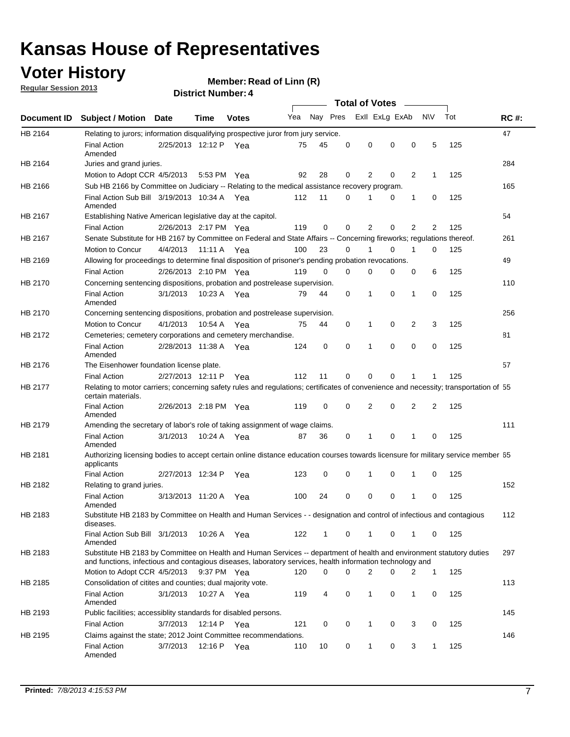### **Voter History**

**Member: Read of Linn (R)** 

**Regular Session 2013**

|             |                                                                                                                                                                                                                                    |                       | ר . וסעוווארו וטווע |              |     |          |          | <b>Total of Votes</b> |          | $\sim$         |                |     |             |
|-------------|------------------------------------------------------------------------------------------------------------------------------------------------------------------------------------------------------------------------------------|-----------------------|---------------------|--------------|-----|----------|----------|-----------------------|----------|----------------|----------------|-----|-------------|
| Document ID | <b>Subject / Motion Date</b>                                                                                                                                                                                                       |                       | Time                | <b>Votes</b> | Yea | Nay Pres |          | Exll ExLg ExAb        |          |                | N\V            | Tot | <b>RC#:</b> |
| HB 2164     | Relating to jurors; information disqualifying prospective juror from jury service.                                                                                                                                                 |                       |                     |              |     |          |          |                       |          |                |                |     | 47          |
|             | <b>Final Action</b><br>Amended                                                                                                                                                                                                     | 2/25/2013 12:12 P Yea |                     |              | 75  | 45       | 0        | 0                     | 0        | 0              | 5              | 125 |             |
| HB 2164     | Juries and grand juries.                                                                                                                                                                                                           |                       |                     |              |     |          |          |                       |          |                |                |     | 284         |
|             | Motion to Adopt CCR 4/5/2013                                                                                                                                                                                                       |                       | 5:53 PM Yea         |              | 92  | 28       | 0        | 2                     | 0        | $\overline{2}$ | 1              | 125 |             |
| HB 2166     | Sub HB 2166 by Committee on Judiciary -- Relating to the medical assistance recovery program.                                                                                                                                      |                       |                     |              |     |          |          |                       |          |                |                |     | 165         |
|             | Final Action Sub Bill 3/19/2013 10:34 A Yea<br>Amended                                                                                                                                                                             |                       |                     |              | 112 | 11       | $\Omega$ |                       | 0        | 1              | 0              | 125 |             |
| HB 2167     | Establishing Native American legislative day at the capitol.                                                                                                                                                                       |                       |                     |              |     |          |          |                       |          |                |                |     | 54          |
|             | <b>Final Action</b>                                                                                                                                                                                                                | 2/26/2013 2:17 PM Yea |                     |              | 119 | 0        | $\Omega$ | 2                     | 0        | 2              | 2              | 125 |             |
| HB 2167     | Senate Substitute for HB 2167 by Committee on Federal and State Affairs -- Concerning fireworks; regulations thereof.                                                                                                              |                       |                     |              |     |          |          |                       |          |                |                |     | 261         |
|             | Motion to Concur                                                                                                                                                                                                                   | 4/4/2013              | 11:11 A Yea         |              | 100 | 23       | 0        | 1                     | 0        | 1              | 0              | 125 |             |
| HB 2169     | Allowing for proceedings to determine final disposition of prisoner's pending probation revocations.                                                                                                                               |                       |                     |              |     |          |          |                       |          |                |                |     | 49          |
|             | <b>Final Action</b>                                                                                                                                                                                                                | 2/26/2013 2:10 PM Yea |                     |              | 119 | 0        | 0        | 0                     | 0        | 0              | 6              | 125 |             |
| HB 2170     | Concerning sentencing dispositions, probation and postrelease supervision.                                                                                                                                                         |                       |                     |              |     |          |          |                       |          |                |                |     | 110         |
|             | <b>Final Action</b><br>Amended                                                                                                                                                                                                     | 3/1/2013              | 10:23 A Yea         |              | 79  | 44       | 0        | 1                     | 0        | 1              | 0              | 125 |             |
| HB 2170     | Concerning sentencing dispositions, probation and postrelease supervision.                                                                                                                                                         |                       |                     |              |     |          |          |                       |          |                |                |     | 256         |
|             | Motion to Concur                                                                                                                                                                                                                   | 4/1/2013              | 10:54 A Yea         |              | 75  | 44       | 0        | 1                     | 0        | $\overline{2}$ | 3              | 125 |             |
| HB 2172     | Cemeteries; cemetery corporations and cemetery merchandise.                                                                                                                                                                        |                       |                     |              |     |          |          |                       |          |                |                |     | 81          |
|             | <b>Final Action</b><br>Amended                                                                                                                                                                                                     | 2/28/2013 11:38 A Yea |                     |              | 124 | 0        | 0        | 1                     | 0        | $\Omega$       | 0              | 125 |             |
| HB 2176     | The Eisenhower foundation license plate.                                                                                                                                                                                           |                       |                     |              |     |          |          |                       |          |                |                |     | 57          |
|             | <b>Final Action</b>                                                                                                                                                                                                                | 2/27/2013 12:11 P     |                     | Yea          | 112 | 11       | $\Omega$ | 0                     | 0        | 1              | 1              | 125 |             |
| HB 2177     | Relating to motor carriers; concerning safety rules and regulations; certificates of convenience and necessity; transportation of 55<br>certain materials.                                                                         |                       |                     |              |     |          |          |                       |          |                |                |     |             |
|             | <b>Final Action</b><br>Amended                                                                                                                                                                                                     | 2/26/2013 2:18 PM Yea |                     |              | 119 | 0        | $\Omega$ | 2                     | 0        | $\overline{2}$ | $\overline{2}$ | 125 |             |
| HB 2179     | Amending the secretary of labor's role of taking assignment of wage claims.                                                                                                                                                        |                       |                     |              |     |          |          |                       |          |                |                |     | 111         |
|             | <b>Final Action</b><br>Amended                                                                                                                                                                                                     | 3/1/2013              | 10:24 A Yea         |              | 87  | 36       | 0        | 1                     | $\Omega$ | 1              | 0              | 125 |             |
| HB 2181     | Authorizing licensing bodies to accept certain online distance education courses towards licensure for military service member 55<br>applicants                                                                                    |                       |                     |              |     |          |          |                       |          |                |                |     |             |
|             | <b>Final Action</b>                                                                                                                                                                                                                | 2/27/2013 12:34 P     |                     | Yea          | 123 | 0        | 0        |                       | 0        | 1              | 0              | 125 |             |
| HB 2182     | Relating to grand juries.                                                                                                                                                                                                          |                       |                     |              |     |          |          |                       |          |                |                |     | 152         |
|             | <b>Final Action</b><br>Amended                                                                                                                                                                                                     | 3/13/2013 11:20 A     |                     | Yea          | 100 | 24       | 0        | 0                     | 0        | 1              | 0              | 125 |             |
| HB 2183     | Substitute HB 2183 by Committee on Health and Human Services - - designation and control of infectious and contagious<br>diseases.                                                                                                 |                       |                     |              |     |          |          |                       |          |                |                |     | 112         |
|             | Final Action Sub Bill 3/1/2013<br>Amended                                                                                                                                                                                          |                       | 10:26 A Yea         |              | 122 | 1        | 0        | 1                     | 0        | 1              | 0              | 125 |             |
| HB 2183     | Substitute HB 2183 by Committee on Health and Human Services -- department of health and environment statutory duties<br>and functions, infectious and contagious diseases, laboratory services, health information technology and |                       |                     |              |     |          |          |                       |          |                |                |     | 297         |
|             | Motion to Adopt CCR 4/5/2013                                                                                                                                                                                                       |                       | 9:37 PM Yea         |              | 120 | 0        | 0        | 2                     | 0        | 2              | 1              | 125 |             |
| HB 2185     | Consolidation of citites and counties; dual majority vote.                                                                                                                                                                         |                       |                     |              |     |          |          |                       |          |                |                |     | 113         |
|             | <b>Final Action</b><br>Amended                                                                                                                                                                                                     | 3/1/2013              | 10:27 A Yea         |              | 119 | 4        | 0        | 1                     | 0        | $\mathbf{1}$   | 0              | 125 |             |
| HB 2193     | Public facilities; accessiblity standards for disabled persons.                                                                                                                                                                    |                       |                     |              |     |          |          |                       |          |                |                |     | 145         |
|             | <b>Final Action</b>                                                                                                                                                                                                                | 3/7/2013              | 12:14 P             | Yea          | 121 | 0        | 0        | 1                     | 0        | 3              | 0              | 125 |             |
| HB 2195     | Claims against the state; 2012 Joint Committee recommendations.                                                                                                                                                                    |                       |                     |              |     |          |          |                       |          |                |                |     | 146         |
|             | <b>Final Action</b><br>Amended                                                                                                                                                                                                     | 3/7/2013              | 12:16 P Yea         |              | 110 | 10       | 0        | 1                     | 0        | 3              | 1              | 125 |             |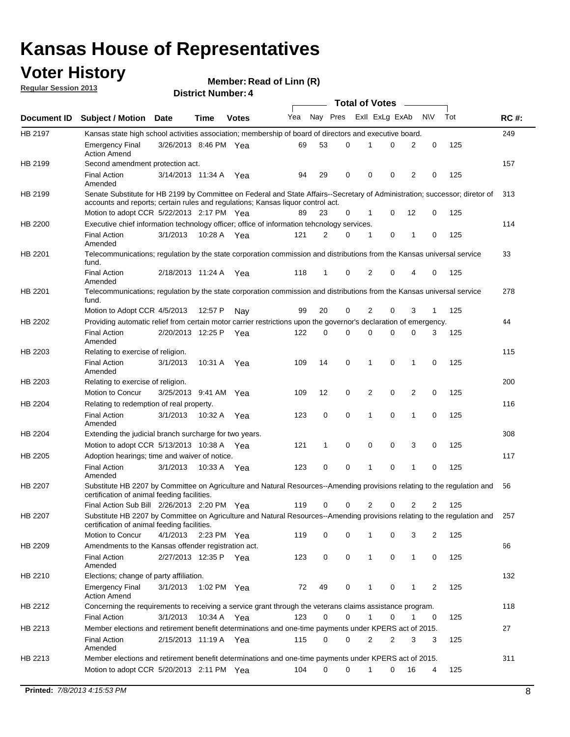### **Voter History**

**Member: Read of Linn (R)** 

**Regular Session 2013**

|                    |                                                                                                                                                                                                                |                       | ר . וסעוווער ועוווסוש |              |     |              | <b>Total of Votes</b> |                |   | $\overline{\phantom{a}}$ |           |     |             |
|--------------------|----------------------------------------------------------------------------------------------------------------------------------------------------------------------------------------------------------------|-----------------------|-----------------------|--------------|-----|--------------|-----------------------|----------------|---|--------------------------|-----------|-----|-------------|
| <b>Document ID</b> | <b>Subject / Motion Date</b>                                                                                                                                                                                   |                       | <b>Time</b>           | <b>Votes</b> | Yea | Nay Pres     |                       | Exll ExLg ExAb |   |                          | <b>NV</b> | Tot | <b>RC#:</b> |
| HB 2197            | Kansas state high school activities association; membership of board of directors and executive board.                                                                                                         |                       |                       |              |     |              |                       |                |   |                          |           |     | 249         |
|                    | <b>Emergency Final</b><br><b>Action Amend</b>                                                                                                                                                                  | 3/26/2013 8:46 PM Yea |                       |              | 69  | 53           | 0                     | 1              | 0 | 2                        | 0         | 125 |             |
| HB 2199            | Second amendment protection act.                                                                                                                                                                               |                       |                       |              |     |              |                       |                |   |                          |           |     | 157         |
|                    | <b>Final Action</b><br>Amended                                                                                                                                                                                 | 3/14/2013 11:34 A     |                       | Yea          | 94  | 29           | 0                     | 0              | 0 | 2                        | 0         | 125 |             |
| HB 2199            | Senate Substitute for HB 2199 by Committee on Federal and State Affairs--Secretary of Administration; successor; diretor of<br>accounts and reports; certain rules and regulations; Kansas liquor control act. |                       |                       |              |     |              |                       |                |   |                          |           |     | 313         |
|                    | Motion to adopt CCR 5/22/2013 2:17 PM Yea                                                                                                                                                                      |                       |                       |              | 89  | 23           | 0                     | $\mathbf 1$    | 0 | 12                       | 0         | 125 |             |
| HB 2200            | Executive chief information technology officer; office of information tehcnology services.                                                                                                                     |                       |                       |              |     |              |                       |                |   |                          |           |     | 114         |
|                    | <b>Final Action</b><br>Amended                                                                                                                                                                                 | 3/1/2013              | 10:28 A Yea           |              | 121 | 2            | 0                     | 1              | 0 | 1                        | 0         | 125 |             |
| HB 2201            | Telecommunications; regulation by the state corporation commission and distributions from the Kansas universal service<br>fund.                                                                                |                       |                       |              |     |              |                       |                |   |                          |           |     | 33          |
|                    | <b>Final Action</b><br>Amended                                                                                                                                                                                 | 2/18/2013 11:24 A     |                       | Yea          | 118 | 1            | 0                     | 2              | 0 | 4                        | 0         | 125 |             |
| HB 2201            | Telecommunications; regulation by the state corporation commission and distributions from the Kansas universal service<br>fund.                                                                                |                       |                       |              |     |              |                       |                |   |                          |           |     | 278         |
|                    | Motion to Adopt CCR 4/5/2013                                                                                                                                                                                   |                       | 12:57 P               | Nay          | 99  | 20           | 0                     | 2              | 0 | 3                        | 1         | 125 |             |
| HB 2202            | Providing automatic relief from certain motor carrier restrictions upon the governor's declaration of emergency.                                                                                               |                       |                       |              |     |              |                       |                |   |                          |           |     | 44          |
|                    | <b>Final Action</b><br>Amended                                                                                                                                                                                 | 2/20/2013 12:25 P     |                       | Yea          | 122 | 0            | 0                     | $\Omega$       | 0 | 0                        | 3         | 125 |             |
| HB 2203            | Relating to exercise of religion.                                                                                                                                                                              |                       |                       |              |     |              |                       |                |   |                          |           |     | 115         |
|                    | <b>Final Action</b><br>Amended                                                                                                                                                                                 | 3/1/2013              | 10:31 A               | Yea          | 109 | 14           | 0                     | 1              | 0 | 1                        | 0         | 125 |             |
| HB 2203            | Relating to exercise of religion.                                                                                                                                                                              |                       |                       |              |     |              |                       |                |   |                          |           |     | 200         |
|                    | Motion to Concur                                                                                                                                                                                               | 3/25/2013 9:41 AM     |                       | Yea          | 109 | 12           | 0                     | 2              | 0 | 2                        | 0         | 125 |             |
| HB 2204            | Relating to redemption of real property.                                                                                                                                                                       |                       |                       |              |     |              |                       |                |   |                          |           |     | 116         |
|                    | <b>Final Action</b><br>Amended                                                                                                                                                                                 | 3/1/2013              | 10:32 A               | Yea          | 123 | 0            | 0                     | 1              | 0 | 1                        | 0         | 125 |             |
| HB 2204            | Extending the judicial branch surcharge for two years.                                                                                                                                                         |                       |                       |              |     |              |                       |                |   |                          |           |     | 308         |
|                    | Motion to adopt CCR $5/13/2013$ 10:38 A Yea                                                                                                                                                                    |                       |                       |              | 121 | $\mathbf{1}$ | 0                     | 0              | 0 | 3                        | 0         | 125 |             |
| HB 2205            | Adoption hearings; time and waiver of notice.                                                                                                                                                                  |                       |                       |              |     |              |                       |                |   |                          |           |     | 117         |
|                    | <b>Final Action</b><br>Amended                                                                                                                                                                                 | 3/1/2013              | 10:33 A Yea           |              | 123 | 0            | 0                     | 1              | 0 | 1                        | 0         | 125 |             |
| HB 2207            | Substitute HB 2207 by Committee on Agriculture and Natural Resources--Amending provisions relating to the regulation and<br>certification of animal feeding facilities.                                        |                       |                       |              |     |              |                       |                |   |                          |           |     | 56          |
|                    | Final Action Sub Bill 2/26/2013 2:20 PM Yea                                                                                                                                                                    |                       |                       |              | 119 | 0            | 0                     | 2              | 0 | 2                        | 2         | 125 |             |
| HB 2207            | Substitute HB 2207 by Committee on Agriculture and Natural Resources--Amending provisions relating to the regulation and<br>certification of animal feeding facilities.                                        |                       |                       |              |     |              |                       |                |   |                          |           |     | 257         |
|                    | Motion to Concur                                                                                                                                                                                               | 4/1/2013 2:23 PM Yea  |                       |              | 119 | 0            | 0                     | 1              | 0 | 3                        | 2         | 125 |             |
| HB 2209            | Amendments to the Kansas offender registration act.                                                                                                                                                            |                       |                       |              |     |              |                       |                |   |                          |           |     | 66          |
|                    | <b>Final Action</b><br>Amended                                                                                                                                                                                 | 2/27/2013 12:35 P Yea |                       |              | 123 | 0            | 0                     | 1              | 0 | $\mathbf{1}$             | 0         | 125 |             |
| HB 2210            | Elections; change of party affiliation.                                                                                                                                                                        |                       |                       |              |     |              |                       |                |   |                          |           |     | 132         |
|                    | <b>Emergency Final</b><br><b>Action Amend</b>                                                                                                                                                                  | 3/1/2013              | 1:02 PM Yea           |              | 72  | 49           | 0                     | 1              | 0 | 1                        | 2         | 125 |             |
| HB 2212            | Concerning the requirements to receiving a service grant through the veterans claims assistance program.                                                                                                       |                       |                       |              |     |              |                       |                |   |                          |           |     | 118         |
|                    | <b>Final Action</b>                                                                                                                                                                                            | 3/1/2013              | 10:34 A               | Yea          | 123 | 0            | 0                     | 1              | 0 | 1                        | 0         | 125 |             |
| HB 2213            | Member elections and retirement benefit determinations and one-time payments under KPERS act of 2015.                                                                                                          |                       |                       |              |     |              |                       |                |   |                          |           |     | 27          |
|                    | <b>Final Action</b><br>Amended                                                                                                                                                                                 | 2/15/2013 11:19 A Yea |                       |              | 115 | 0            | 0                     | 2              | 2 | 3                        | 3         | 125 |             |
| HB 2213            | Member elections and retirement benefit determinations and one-time payments under KPERS act of 2015.                                                                                                          |                       |                       |              |     |              |                       |                |   |                          |           |     | 311         |
|                    | Motion to adopt CCR 5/20/2013 2:11 PM Yea                                                                                                                                                                      |                       |                       |              | 104 | 0            | 0                     | 1              | 0 | 16                       | 4         | 125 |             |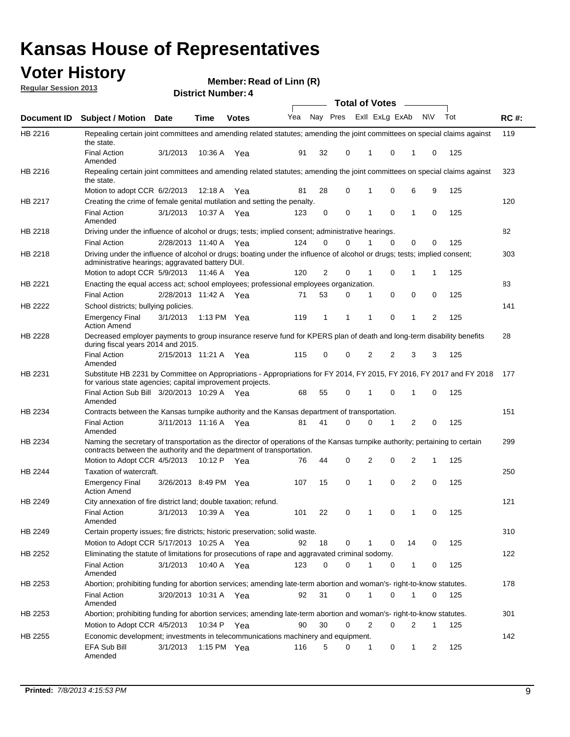### **Voter History**

**Member: Read of Linn (R)** 

**Regular Session 2013**

|                    |                                                                                                                                                                                                       |                       | ר . וסעוווארו וטווע |               |              |    |   | <b>Total of Votes</b> |          | $\sim$         |           |     |             |
|--------------------|-------------------------------------------------------------------------------------------------------------------------------------------------------------------------------------------------------|-----------------------|---------------------|---------------|--------------|----|---|-----------------------|----------|----------------|-----------|-----|-------------|
| <b>Document ID</b> | <b>Subject / Motion Date</b>                                                                                                                                                                          |                       | Time                | <b>Votes</b>  | Yea Nay Pres |    |   | Exll ExLg ExAb        |          |                | <b>NV</b> | Tot | <b>RC#:</b> |
| HB 2216            | Repealing certain joint committees and amending related statutes; amending the joint committees on special claims against<br>the state.                                                               |                       |                     |               |              |    |   |                       |          |                |           |     | 119         |
|                    | <b>Final Action</b><br>Amended                                                                                                                                                                        | 3/1/2013              | 10:36 A             | Yea           | 91           | 32 | 0 | 1                     | 0        | 1              | 0         | 125 |             |
| HB 2216            | Repealing certain joint committees and amending related statutes; amending the joint committees on special claims against<br>the state.                                                               |                       |                     |               |              |    |   |                       |          |                |           |     | 323         |
|                    | Motion to adopt CCR 6/2/2013                                                                                                                                                                          |                       | 12:18 A             | Yea           | 81           | 28 | 0 | 1                     | 0        | 6              | 9         | 125 |             |
| HB 2217            | Creating the crime of female genital mutilation and setting the penalty.                                                                                                                              |                       |                     |               |              |    |   |                       |          |                |           |     | 120         |
|                    | <b>Final Action</b><br>Amended                                                                                                                                                                        | 3/1/2013              |                     | 10:37 A Yea   | 123          | 0  | 0 | 1                     | 0        | $\mathbf{1}$   | 0         | 125 |             |
| HB 2218            | Driving under the influence of alcohol or drugs; tests; implied consent; administrative hearings.                                                                                                     |                       |                     |               |              |    |   |                       |          |                |           |     | 82          |
|                    | <b>Final Action</b>                                                                                                                                                                                   | 2/28/2013 11:40 A Yea |                     |               | 124          | 0  | 0 |                       | $\Omega$ | 0              | 0         | 125 |             |
| HB 2218            | Driving under the influence of alcohol or drugs; boating under the influence of alcohol or drugs; tests; implied consent;<br>administrative hearings; aggravated battery DUI.                         |                       |                     |               |              |    |   |                       |          |                |           |     | 303         |
|                    | Motion to adopt CCR 5/9/2013 11:46 A                                                                                                                                                                  |                       |                     | Yea           | 120          | 2  | 0 | 1                     | 0        | 1              | 1         | 125 |             |
| HB 2221            | Enacting the equal access act; school employees; professional employees organization.                                                                                                                 |                       |                     |               |              |    |   |                       |          |                |           |     | 83          |
|                    | <b>Final Action</b>                                                                                                                                                                                   | 2/28/2013 11:42 A     |                     | Yea           | 71           | 53 | 0 | 1                     | 0        | 0              | 0         | 125 |             |
| HB 2222            | School districts; bullying policies.<br><b>Emergency Final</b>                                                                                                                                        | 3/1/2013              |                     | 1:13 PM $Yea$ | 119          | 1  | 1 | 1                     | 0        | 1              | 2         | 125 | 141         |
| HB 2228            | <b>Action Amend</b><br>Decreased employer payments to group insurance reserve fund for KPERS plan of death and long-term disability benefits<br>during fiscal years 2014 and 2015.                    |                       |                     |               |              |    |   |                       |          |                |           |     | 28          |
|                    | <b>Final Action</b><br>Amended                                                                                                                                                                        | 2/15/2013 11:21 A Yea |                     |               | 115          | 0  | 0 | 2                     | 2        | 3              | 3         | 125 |             |
| HB 2231            | Substitute HB 2231 by Committee on Appropriations - Appropriations for FY 2014, FY 2015, FY 2016, FY 2017 and FY 2018<br>for various state agencies; capital improvement projects.                    |                       |                     |               |              |    |   |                       |          |                |           |     | 177         |
|                    | Final Action Sub Bill 3/20/2013 10:29 A Yea<br>Amended                                                                                                                                                |                       |                     |               | 68           | 55 | 0 |                       | 0        | 1              | 0         | 125 |             |
| HB 2234            | Contracts between the Kansas turnpike authority and the Kansas department of transportation.                                                                                                          |                       |                     |               |              |    |   |                       |          |                |           |     | 151         |
|                    | <b>Final Action</b><br>Amended                                                                                                                                                                        | 3/11/2013 11:16 A Yea |                     |               | 81           | 41 | 0 | 0                     | 1        | $\overline{2}$ | 0         | 125 |             |
| HB 2234            | Naming the secretary of transportation as the director of operations of the Kansas turnpike authority; pertaining to certain<br>contracts between the authority and the department of transportation. |                       |                     |               |              |    |   |                       |          |                |           |     | 299         |
|                    | Motion to Adopt CCR 4/5/2013                                                                                                                                                                          |                       | 10:12 P             | Yea           | 76           | 44 | 0 | 2                     | 0        | 2              | 1         | 125 |             |
| HB 2244            | Taxation of watercraft.<br><b>Emergency Final</b>                                                                                                                                                     | 3/26/2013 8:49 PM Yea |                     |               | 107          | 15 | 0 | 1                     | 0        | 2              | 0         | 125 | 250         |
|                    | <b>Action Amend</b>                                                                                                                                                                                   |                       |                     |               |              |    |   |                       |          |                |           |     |             |
| HB 2249            | City annexation of fire district land; double taxation; refund.<br>Final Action 3/1/2013 10:39 A Yea<br>Amended                                                                                       |                       |                     |               | 101          | 22 | 0 | $\mathbf{1}$          | 0        | $\mathbf{1}$   | 0         | 125 | 121         |
| HB 2249            | Certain property issues; fire districts; historic preservation; solid waste.                                                                                                                          |                       |                     |               |              |    |   |                       |          |                |           |     | 310         |
|                    | Motion to Adopt CCR 5/17/2013 10:25 A Yea                                                                                                                                                             |                       |                     |               | 92           | 18 | 0 | 1                     | 0        | 14             | 0         | 125 |             |
| HB 2252            | Eliminating the statute of limitations for prosecutions of rape and aggravated criminal sodomy.                                                                                                       |                       |                     |               |              |    |   |                       |          |                |           |     | 122         |
|                    | <b>Final Action</b><br>Amended                                                                                                                                                                        | 3/1/2013              |                     | 10:40 A Yea   | 123          | 0  | 0 |                       | 0        | 1              | 0         | 125 |             |
| HB 2253            | Abortion; prohibiting funding for abortion services; amending late-term abortion and woman's- right-to-know statutes.                                                                                 |                       |                     |               |              |    |   |                       |          |                |           |     | 178         |
|                    | <b>Final Action</b><br>Amended                                                                                                                                                                        | 3/20/2013 10:31 A Yea |                     |               | 92           | 31 | 0 | 1                     | 0        | 1              | 0         | 125 |             |
| HB 2253            | Abortion; prohibiting funding for abortion services; amending late-term abortion and woman's- right-to-know statutes.                                                                                 |                       |                     |               |              |    |   |                       |          |                |           |     | 301         |
|                    | Motion to Adopt CCR 4/5/2013                                                                                                                                                                          |                       |                     | 10:34 P Yea   | 90           | 30 | 0 | 2                     | 0        | 2              | 1         | 125 |             |
| HB 2255            | Economic development; investments in telecommunications machinery and equipment.                                                                                                                      |                       |                     |               |              |    |   |                       |          |                |           |     | 142         |
|                    | EFA Sub Bill<br>Amended                                                                                                                                                                               | 3/1/2013              |                     | 1:15 PM $Yea$ | 116          | 5  | 0 | -1                    | 0        | 1              | 2         | 125 |             |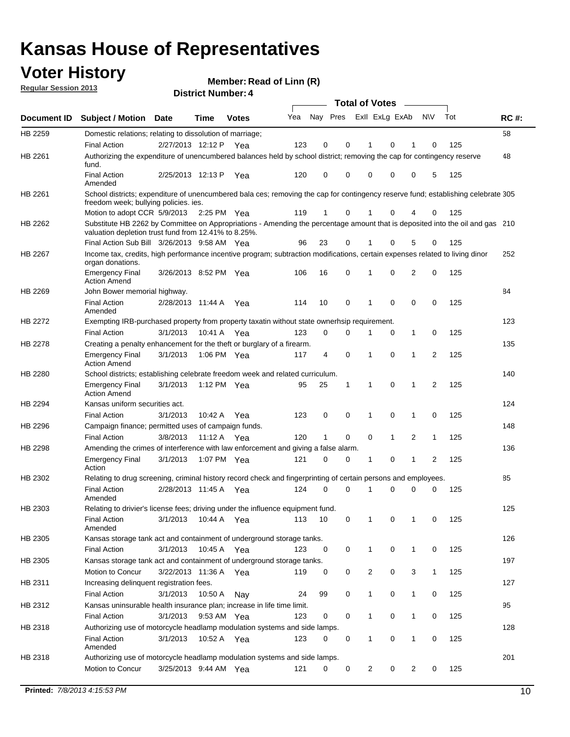### **Voter History**

**Member: Read of Linn (R)** 

**Regular Session 2013**

|                    |                                                                                                                                                                                       |                       | ר . וסעוווארו וטווע |              |     |              |             | <b>Total of Votes</b> |              | $\sim$       |                |     |             |
|--------------------|---------------------------------------------------------------------------------------------------------------------------------------------------------------------------------------|-----------------------|---------------------|--------------|-----|--------------|-------------|-----------------------|--------------|--------------|----------------|-----|-------------|
| <b>Document ID</b> | <b>Subject / Motion Date</b>                                                                                                                                                          |                       | Time                | <b>Votes</b> | Yea | Nay Pres     |             | Exll ExLg ExAb        |              |              | <b>NV</b>      | Tot | <b>RC#:</b> |
| HB 2259            | Domestic relations; relating to dissolution of marriage;                                                                                                                              |                       |                     |              |     |              |             |                       |              |              |                |     | 58          |
|                    | <b>Final Action</b>                                                                                                                                                                   | 2/27/2013 12:12 P     |                     | Yea          | 123 | 0            | 0           | 1                     | 0            | 1            | 0              | 125 |             |
| HB 2261            | Authorizing the expenditure of unencumbered balances held by school district; removing the cap for contingency reserve<br>fund.                                                       |                       |                     |              |     |              |             |                       |              |              |                |     | 48          |
|                    | <b>Final Action</b><br>Amended                                                                                                                                                        | 2/25/2013 12:13 P     |                     | Yea          | 120 | 0            | 0           | 0                     | 0            | 0            | 5              | 125 |             |
| HB 2261            | School districts; expenditure of unencumbered bala ces; removing the cap for contingency reserve fund; establishing celebrate 305<br>freedom week; bullying policies. ies.            |                       |                     |              |     |              |             |                       |              |              |                |     |             |
|                    | Motion to adopt CCR 5/9/2013 2:25 PM Yea                                                                                                                                              |                       |                     |              | 119 | 1            | 0           |                       | 0            | 4            | 0              | 125 |             |
| HB 2262            | Substitute HB 2262 by Committee on Appropriations - Amending the percentage amount that is deposited into the oil and gas 210<br>valuation depletion trust fund from 12.41% to 8.25%. |                       |                     |              |     |              |             |                       |              |              |                |     |             |
|                    | Final Action Sub Bill 3/26/2013 9:58 AM Yea                                                                                                                                           |                       |                     |              | 96  | 23           | 0           |                       | 0            | 5            | 0              | 125 |             |
| HB 2267            | Income tax, credits, high performance incentive program; subtraction modifications, certain expenses related to living dinor<br>organ donations.                                      |                       |                     |              |     |              |             |                       |              |              |                |     | 252         |
|                    | <b>Emergency Final</b><br><b>Action Amend</b>                                                                                                                                         | 3/26/2013 8:52 PM Yea |                     |              | 106 | 16           | 0           | 1                     | 0            | 2            | 0              | 125 |             |
| HB 2269            | John Bower memorial highway.                                                                                                                                                          |                       |                     |              |     |              |             |                       |              |              |                |     | 84          |
|                    | <b>Final Action</b><br>Amended                                                                                                                                                        | 2/28/2013 11:44 A     |                     | Yea          | 114 | 10           | 0           | 1                     | $\mathbf 0$  | 0            | 0              | 125 |             |
| HB 2272            | Exempting IRB-purchased property from property taxatin without state ownerhsip requirement.                                                                                           |                       |                     |              |     |              |             |                       |              |              |                |     | 123         |
|                    | <b>Final Action</b>                                                                                                                                                                   | 3/1/2013              | 10:41 A             | Yea          | 123 | 0            | 0           | 1                     | 0            | $\mathbf{1}$ | 0              | 125 |             |
| HB 2278            | Creating a penalty enhancement for the theft or burglary of a firearm.                                                                                                                |                       |                     |              |     |              |             |                       |              |              |                |     | 135         |
|                    | <b>Emergency Final</b><br><b>Action Amend</b>                                                                                                                                         | 3/1/2013              | 1:06 PM Yea         |              | 117 | 4            | $\mathbf 0$ | 1                     | $\Omega$     | 1            | 2              | 125 |             |
| HB 2280            | School districts; establishing celebrate freedom week and related curriculum.                                                                                                         |                       |                     |              |     |              |             |                       |              |              |                |     | 140         |
|                    | <b>Emergency Final</b><br><b>Action Amend</b>                                                                                                                                         | 3/1/2013              | 1:12 PM Yea         |              | 95  | 25           | 1           | 1                     | 0            | 1            | 2              | 125 |             |
| HB 2294            | Kansas uniform securities act.                                                                                                                                                        |                       |                     |              |     |              |             |                       |              |              |                |     | 124         |
|                    | <b>Final Action</b>                                                                                                                                                                   | 3/1/2013              | 10:42 A             | Yea          | 123 | 0            | 0           | 1                     | 0            | 1            | 0              | 125 |             |
| HB 2296            | Campaign finance; permitted uses of campaign funds.                                                                                                                                   |                       |                     |              |     |              |             |                       |              |              |                |     | 148         |
|                    | <b>Final Action</b>                                                                                                                                                                   | 3/8/2013              | 11:12 A Yea         |              | 120 | $\mathbf{1}$ | 0           | 0                     | $\mathbf{1}$ | 2            | $\mathbf{1}$   | 125 |             |
| HB 2298            | Amending the crimes of interference with law enforcement and giving a false alarm.                                                                                                    |                       |                     |              |     |              |             |                       |              |              |                |     | 136         |
|                    | <b>Emergency Final</b><br>Action                                                                                                                                                      | 3/1/2013              | 1:07 PM Yea         |              | 121 | 0            | 0           | 1                     | 0            | 1            | $\overline{2}$ | 125 |             |
| HB 2302            | Relating to drug screening, criminal history record check and fingerprinting of certain persons and employees.                                                                        |                       |                     |              |     |              |             |                       |              |              |                |     | 85          |
|                    | <b>Final Action</b><br>Amended                                                                                                                                                        | 2/28/2013 11:45 A     |                     | Yea          | 124 | $\Omega$     | $\Omega$    | 1                     | 0            | 0            | 0              | 125 |             |
| HB 2303            | Relating to drivier's license fees; driving under the influence equipment fund.                                                                                                       |                       |                     |              |     |              |             |                       |              |              |                |     | 125         |
|                    | <b>Final Action</b><br>Amended                                                                                                                                                        | 3/1/2013              | 10:44 A             | Yea          | 113 | 10           | 0           | 1                     | 0            | 1            | 0              | 125 |             |
| HB 2305            | Kansas storage tank act and containment of underground storage tanks.                                                                                                                 |                       |                     |              |     |              |             |                       |              |              |                |     | 126         |
|                    | <b>Final Action</b>                                                                                                                                                                   | 3/1/2013              | 10:45 A             | Yea          | 123 | 0            | 0           | 1                     | 0            | 1            | 0              | 125 |             |
| HB 2305            | Kansas storage tank act and containment of underground storage tanks.                                                                                                                 |                       |                     |              |     |              |             |                       |              |              |                |     | 197         |
|                    | Motion to Concur                                                                                                                                                                      | 3/22/2013 11:36 A     |                     | Yea          | 119 | 0            | 0           | 2                     | 0            | 3            | $\mathbf{1}$   | 125 |             |
| HB 2311            | Increasing delinquent registration fees.<br><b>Final Action</b>                                                                                                                       | 3/1/2013              | 10:50 A             | Nay          | 24  | 99           | 0           | 1                     | 0            | 1            | 0              | 125 | 127         |
| HB 2312            | Kansas uninsurable health insurance plan; increase in life time limit.                                                                                                                |                       |                     |              |     |              |             |                       |              |              |                |     | 95          |
|                    | <b>Final Action</b>                                                                                                                                                                   | 3/1/2013              | 9:53 AM Yea         |              | 123 | 0            | 0           | 1                     | 0            | 1            | 0              | 125 |             |
| HB 2318            | Authorizing use of motorcycle headlamp modulation systems and side lamps.                                                                                                             |                       |                     |              |     |              |             |                       |              |              |                |     | 128         |
|                    | <b>Final Action</b><br>Amended                                                                                                                                                        | 3/1/2013              | 10:52 A             | Yea          | 123 | 0            | 0           | 1                     | 0            | 1            | 0              | 125 |             |
| HB 2318            | Authorizing use of motorcycle headlamp modulation systems and side lamps.                                                                                                             |                       |                     |              |     |              |             |                       |              |              |                |     | 201         |
|                    | Motion to Concur                                                                                                                                                                      | 3/25/2013 9:44 AM Yea |                     |              | 121 | 0            | 0           | 2                     | 0            | 2            | 0              | 125 |             |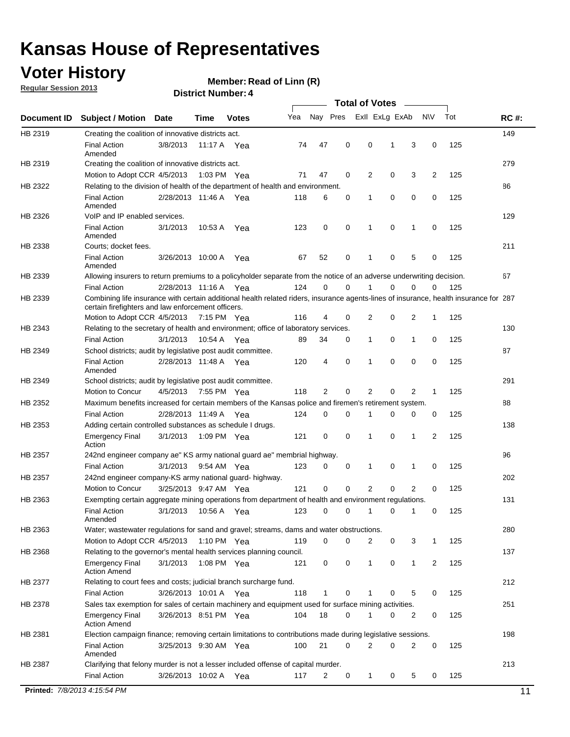### **Voter History**

**Member: Read of Linn (R)** 

**Regular Session 2013**

|             |                                                                                                                                                                                             | <b>Total of Votes</b> |             |              |     |             |             |                |   |                |           |     |             |  |
|-------------|---------------------------------------------------------------------------------------------------------------------------------------------------------------------------------------------|-----------------------|-------------|--------------|-----|-------------|-------------|----------------|---|----------------|-----------|-----|-------------|--|
| Document ID | <b>Subject / Motion</b>                                                                                                                                                                     | <b>Date</b>           | Time        | <b>Votes</b> | Yea | Nay Pres    |             | Exll ExLg ExAb |   |                | <b>NV</b> | Tot | <b>RC#:</b> |  |
| HB 2319     | Creating the coalition of innovative districts act.                                                                                                                                         |                       |             |              |     |             |             |                |   |                |           |     | 149         |  |
|             | <b>Final Action</b><br>Amended                                                                                                                                                              | 3/8/2013              | 11:17 A     | Yea          | 74  | 47          | 0           | 0              | 1 | 3              | 0         | 125 |             |  |
| HB 2319     | Creating the coalition of innovative districts act.                                                                                                                                         |                       |             |              |     |             |             |                |   |                |           |     | 279         |  |
|             | Motion to Adopt CCR 4/5/2013                                                                                                                                                                |                       |             | 1:03 PM Yea  | 71  | 47          | 0           | 2              | 0 | 3              | 2         | 125 |             |  |
| HB 2322     | Relating to the division of health of the department of health and environment.                                                                                                             |                       |             |              |     |             |             |                |   |                |           |     | 86          |  |
|             | <b>Final Action</b><br>Amended                                                                                                                                                              | 2/28/2013 11:46 A Yea |             |              | 118 | 6           | 0           | 1              | 0 | 0              | 0         | 125 |             |  |
| HB 2326     | VoIP and IP enabled services.                                                                                                                                                               |                       |             |              |     |             |             |                |   |                |           |     | 129         |  |
|             | <b>Final Action</b><br>Amended                                                                                                                                                              | 3/1/2013              | 10.53 A     | Yea          | 123 | $\mathbf 0$ | 0           | $\mathbf{1}$   | 0 | 1              | 0         | 125 |             |  |
| HB 2338     | Courts; docket fees.                                                                                                                                                                        |                       |             |              |     |             |             |                |   |                |           |     | 211         |  |
|             | <b>Final Action</b><br>Amended                                                                                                                                                              | 3/26/2013 10:00 A     |             | Yea          | 67  | 52          | 0           | $\mathbf 1$    | 0 | 5              | 0         | 125 |             |  |
| HB 2339     | Allowing insurers to return premiums to a policyholder separate from the notice of an adverse underwriting decision.                                                                        |                       |             |              |     |             |             |                |   |                |           |     | 67          |  |
|             | <b>Final Action</b>                                                                                                                                                                         | 2/28/2013 11:16 A Yea |             |              | 124 | 0           | 0           |                | 0 | 0              | 0         | 125 |             |  |
| HB 2339     | Combining life insurance with certain additional health related riders, insurance agents-lines of insurance, health insurance for 287<br>certain firefighters and law enforcement officers. |                       |             |              |     |             |             |                |   |                |           |     |             |  |
|             | Motion to Adopt CCR 4/5/2013 7:15 PM Yea                                                                                                                                                    |                       |             |              | 116 | 4           | 0           | 2              | 0 | 2              | -1        | 125 |             |  |
| HB 2343     | Relating to the secretary of health and environment; office of laboratory services.                                                                                                         |                       |             |              |     |             |             |                |   |                |           |     | 130         |  |
|             | <b>Final Action</b>                                                                                                                                                                         | 3/1/2013              | 10:54 A Yea |              | 89  | 34          | 0           | 1              | 0 | $\mathbf{1}$   | 0         | 125 |             |  |
| HB 2349     | School districts; audit by legislative post audit committee.                                                                                                                                |                       |             |              |     |             |             |                |   |                |           |     | 87          |  |
|             | <b>Final Action</b><br>Amended                                                                                                                                                              | 2/28/2013 11:48 A Yea |             |              | 120 | 4           | $\mathbf 0$ | $\mathbf{1}$   | 0 | $\mathbf 0$    | 0         | 125 |             |  |
| HB 2349     | 291<br>School districts; audit by legislative post audit committee.                                                                                                                         |                       |             |              |     |             |             |                |   |                |           |     |             |  |
|             | Motion to Concur                                                                                                                                                                            | 4/5/2013              |             | 7:55 PM Yea  | 118 | 2           | 0           | 2              | 0 | 2              | 1         | 125 |             |  |
| HB 2352     | Maximum benefits increased for certain members of the Kansas police and firemen's retirement system.<br>88                                                                                  |                       |             |              |     |             |             |                |   |                |           |     |             |  |
|             | <b>Final Action</b>                                                                                                                                                                         | 2/28/2013 11:49 A     |             | Yea          | 124 | 0           | 0           | 1              | 0 | 0              | 0         | 125 |             |  |
| HB 2353     | Adding certain controlled substances as schedule I drugs.                                                                                                                                   |                       |             |              |     |             |             |                |   |                |           |     | 138         |  |
|             | Emergency Final<br>Action                                                                                                                                                                   | 3/1/2013              |             | 1:09 PM Yea  | 121 | 0           | 0           | $\mathbf{1}$   | 0 | 1              | 2         | 125 |             |  |
| HB 2357     | 96<br>242nd engineer company ae" KS army national guard ae" membrial highway.                                                                                                               |                       |             |              |     |             |             |                |   |                |           |     |             |  |
|             | <b>Final Action</b>                                                                                                                                                                         | 3/1/2013              |             | 9:54 AM Yea  | 123 | 0           | 0           | 1              | 0 | 1              | 0         | 125 |             |  |
| HB 2357     | 242nd engineer company-KS army national guard- highway.                                                                                                                                     |                       |             |              |     |             |             |                |   |                |           |     | 202         |  |
|             | Motion to Concur                                                                                                                                                                            | 3/25/2013 9:47 AM Yea |             |              | 121 | $\mathbf 0$ | $\mathbf 0$ | 2              | 0 | $\overline{2}$ | 0         | 125 |             |  |
| HB 2363     | Exempting certain aggregate mining operations from department of health and environment regulations.                                                                                        |                       |             |              |     |             |             |                |   |                |           |     | 131         |  |
|             | <b>Final Action</b><br>Amended                                                                                                                                                              | 3/1/2013              | 10:56 A     | Yea          | 123 | 0           | 0           | 1              | 0 | 1              | 0         | 125 |             |  |
| HB 2363     | Water; wastewater regulations for sand and gravel; streams, dams and water obstructions.                                                                                                    |                       |             |              |     |             |             |                |   |                |           |     | 280         |  |
|             | Motion to Adopt CCR 4/5/2013                                                                                                                                                                |                       |             | 1:10 PM Yea  | 119 | 0           | 0           | 2              | 0 | 3              | 1         | 125 |             |  |
| HB 2368     | Relating to the governor's mental health services planning council.                                                                                                                         |                       |             |              |     |             |             |                |   |                |           |     | 137         |  |
|             | Emergency Final<br><b>Action Amend</b>                                                                                                                                                      | 3/1/2013              |             | 1:08 PM Yea  | 121 | 0           | 0           | 1              | 0 | $\mathbf{1}$   | 2         | 125 |             |  |
| HB 2377     | Relating to court fees and costs; judicial branch surcharge fund.                                                                                                                           |                       |             |              |     |             |             |                |   |                |           |     | 212         |  |
|             | <b>Final Action</b>                                                                                                                                                                         | 3/26/2013 10:01 A Yea |             |              | 118 | 1           | 0           |                | 0 | 5              | 0         | 125 |             |  |
| HB 2378     | Sales tax exemption for sales of certain machinery and equipment used for surface mining activities.                                                                                        |                       |             |              |     |             |             |                |   |                |           |     | 251         |  |
|             | Emergency Final<br><b>Action Amend</b>                                                                                                                                                      | 3/26/2013 8:51 PM Yea |             |              | 104 | 18          | 0           | 1              | 0 | 2              | 0         | 125 |             |  |
| HB 2381     | Election campaign finance; removing certain limitations to contributions made during legislative sessions.                                                                                  |                       |             |              |     |             |             |                |   |                |           |     | 198         |  |
|             | <b>Final Action</b><br>Amended                                                                                                                                                              | 3/25/2013 9:30 AM Yea |             |              | 100 | 21          | 0           | 2              | 0 | 2              | 0         | 125 |             |  |
| HB 2387     | Clarifying that felony murder is not a lesser included offense of capital murder.                                                                                                           |                       |             |              |     |             |             |                |   |                |           |     | 213         |  |
|             | <b>Final Action</b>                                                                                                                                                                         | 3/26/2013 10:02 A     |             | Yea          | 117 | 2           | 0           | 1              | 0 | 5              | 0         | 125 |             |  |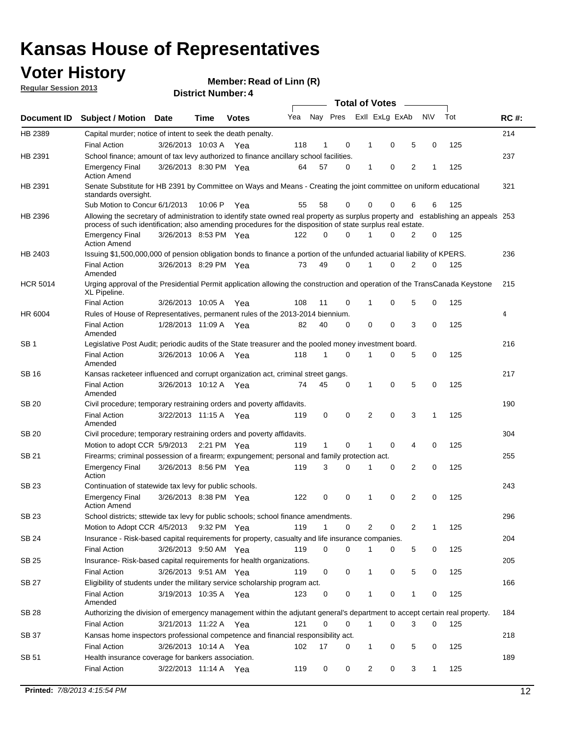### **Voter History**

**Member: Read of Linn (R)** 

**Regular Session 2013**

|                 |                                                                                                                                                                                                                                                  |                       |         | ר . וסעוווער ועוווסוש | <b>Total of Votes</b><br>$\sim$ |              |             |              |                |                |           |     |             |  |
|-----------------|--------------------------------------------------------------------------------------------------------------------------------------------------------------------------------------------------------------------------------------------------|-----------------------|---------|-----------------------|---------------------------------|--------------|-------------|--------------|----------------|----------------|-----------|-----|-------------|--|
| Document ID     | <b>Subject / Motion Date</b>                                                                                                                                                                                                                     |                       | Time    | <b>Votes</b>          | Yea                             |              | Nay Pres    |              | Exll ExLg ExAb |                | <b>NV</b> | Tot | <b>RC#:</b> |  |
| HB 2389         | Capital murder; notice of intent to seek the death penalty.                                                                                                                                                                                      |                       |         |                       |                                 |              |             |              |                |                |           |     | 214         |  |
|                 | <b>Final Action</b>                                                                                                                                                                                                                              | 3/26/2013 10:03 A Yea |         |                       | 118                             | 1            | 0           | 1            | 0              | 5              | 0         | 125 |             |  |
| HB 2391         | School finance; amount of tax levy authorized to finance ancillary school facilities.                                                                                                                                                            |                       |         |                       |                                 |              |             |              |                |                |           |     | 237         |  |
|                 | <b>Emergency Final</b><br><b>Action Amend</b>                                                                                                                                                                                                    | 3/26/2013 8:30 PM Yea |         |                       | 64                              | 57           | $\Omega$    | 1            | 0              | $\overline{2}$ | 1         | 125 |             |  |
| HB 2391         | Senate Substitute for HB 2391 by Committee on Ways and Means - Creating the joint committee on uniform educational<br>standards oversight.                                                                                                       |                       |         |                       |                                 |              |             |              |                |                |           |     | 321         |  |
|                 | Sub Motion to Concur 6/1/2013                                                                                                                                                                                                                    |                       | 10:06 P | Yea                   | 55                              | 58           | 0           | 0            | 0              | 6              | 6         | 125 |             |  |
| HB 2396         | Allowing the secretary of administration to identify state owned real property as surplus property and establishing an appeals 253<br>process of such identification; also amending procedures for the disposition of state surplus real estate. |                       |         |                       |                                 |              |             |              |                |                |           |     |             |  |
|                 | <b>Emergency Final</b><br><b>Action Amend</b>                                                                                                                                                                                                    | 3/26/2013 8:53 PM Yea |         |                       | 122                             | 0            | $\Omega$    |              | 0              | 2              | 0         | 125 |             |  |
| HB 2403         | Issuing \$1,500,000,000 of pension obligation bonds to finance a portion of the unfunded actuarial liability of KPERS.                                                                                                                           |                       |         |                       |                                 |              |             |              |                |                |           |     | 236         |  |
|                 | <b>Final Action</b><br>Amended                                                                                                                                                                                                                   | 3/26/2013 8:29 PM Yea |         |                       | 73                              | 49           | 0           | 1            | 0              | 2              | 0         | 125 |             |  |
| <b>HCR 5014</b> | Urging approval of the Presidential Permit application allowing the construction and operation of the TransCanada Keystone<br>XL Pipeline.                                                                                                       |                       |         |                       |                                 |              |             |              |                |                |           |     | 215         |  |
|                 | <b>Final Action</b>                                                                                                                                                                                                                              | 3/26/2013 10:05 A     |         | Yea                   | 108                             | 11           | 0           | 1            | 0              | 5              | 0         | 125 |             |  |
| HR 6004         | Rules of House of Representatives, permanent rules of the 2013-2014 biennium.                                                                                                                                                                    |                       |         |                       |                                 |              |             |              |                |                |           |     | 4           |  |
|                 | <b>Final Action</b><br>Amended                                                                                                                                                                                                                   | 1/28/2013 11:09 A Yea |         |                       | 82                              | 40           | 0           | 0            | 0              | 3              | 0         | 125 |             |  |
| SB <sub>1</sub> | Legislative Post Audit; periodic audits of the State treasurer and the pooled money investment board.                                                                                                                                            |                       |         |                       |                                 |              |             |              |                |                |           |     | 216         |  |
|                 | <b>Final Action</b><br>Amended                                                                                                                                                                                                                   | 3/26/2013 10:06 A     |         | Yea                   | 118                             | 1            | $\Omega$    | 1            | 0              | 5              | 0         | 125 |             |  |
| SB 16           | Kansas racketeer influenced and corrupt organization act, criminal street gangs.                                                                                                                                                                 |                       |         |                       |                                 |              |             |              |                |                |           |     | 217         |  |
|                 | <b>Final Action</b><br>Amended                                                                                                                                                                                                                   | 3/26/2013 10:12 A Yea |         |                       | 74                              | 45           | 0           | 1            | 0              | 5              | 0         | 125 |             |  |
| <b>SB 20</b>    | Civil procedure; temporary restraining orders and poverty affidavits.                                                                                                                                                                            |                       |         |                       |                                 |              |             |              |                |                |           |     | 190         |  |
|                 | <b>Final Action</b><br>Amended                                                                                                                                                                                                                   | 3/22/2013 11:15 A     |         | Yea                   | 119                             | 0            | 0           | 2            | 0              | 3              | 1         | 125 |             |  |
| SB 20           | Civil procedure; temporary restraining orders and poverty affidavits.                                                                                                                                                                            |                       |         |                       |                                 |              |             |              |                |                |           |     | 304         |  |
|                 | Motion to adopt CCR 5/9/2013                                                                                                                                                                                                                     |                       |         | 2:21 PM Yea           | 119                             | $\mathbf{1}$ | 0           | 1            | 0              | 4              | 0         | 125 |             |  |
| <b>SB 21</b>    | Firearms; criminal possession of a firearm; expungement; personal and family protection act.                                                                                                                                                     |                       |         |                       |                                 |              |             |              |                |                |           |     | 255         |  |
|                 | <b>Emergency Final</b><br>Action                                                                                                                                                                                                                 | 3/26/2013 8:56 PM Yea |         |                       | 119                             | 3            | $\Omega$    | 1            | 0              | 2              | 0         | 125 |             |  |
| <b>SB 23</b>    | Continuation of statewide tax levy for public schools.                                                                                                                                                                                           |                       |         |                       |                                 |              |             |              |                |                |           |     | 243         |  |
|                 | <b>Emergency Final</b><br><b>Action Amend</b>                                                                                                                                                                                                    | 3/26/2013 8:38 PM Yea |         |                       | 122                             | 0            | 0           | 1            | 0              | 2              | 0         | 125 |             |  |
| SB 23           | School districts; sttewide tax levy for public schools; school finance amendments.                                                                                                                                                               |                       |         |                       |                                 |              |             |              |                |                |           |     | 296         |  |
|                 | Motion to Adopt CCR 4/5/2013                                                                                                                                                                                                                     |                       |         | 9:32 PM Yea           | 119                             | 1            | 0           |              | 2<br>0         | 2              | 1         | 125 |             |  |
| <b>SB 24</b>    | Insurance - Risk-based capital requirements for property, casualty and life insurance companies.                                                                                                                                                 |                       |         |                       |                                 |              |             |              |                |                |           |     | 204         |  |
|                 | Final Action                                                                                                                                                                                                                                     | 3/26/2013 9:50 AM Yea |         |                       | 119                             | 0            | 0           | 1            | 0              | 5              | 0         | 125 |             |  |
| <b>SB 25</b>    | Insurance-Risk-based capital requirements for health organizations.                                                                                                                                                                              |                       |         |                       |                                 |              |             |              |                |                |           |     | 205         |  |
|                 | Final Action                                                                                                                                                                                                                                     | 3/26/2013 9:51 AM Yea |         |                       | 119                             | 0            | 0           | 1            | 0              | 5              | 0         | 125 |             |  |
| <b>SB 27</b>    | Eligibility of students under the military service scholarship program act.                                                                                                                                                                      |                       |         |                       |                                 |              |             |              |                |                |           |     | 166         |  |
|                 | <b>Final Action</b><br>Amended                                                                                                                                                                                                                   | 3/19/2013 10:35 A Yea |         |                       | 123                             | 0            | 0           |              | 0              | 1              | 0         | 125 |             |  |
| SB 28           | Authorizing the division of emergency management within the adjutant general's department to accept certain real property.                                                                                                                       |                       |         |                       |                                 |              |             |              |                |                |           |     | 184         |  |
|                 | <b>Final Action</b>                                                                                                                                                                                                                              | 3/21/2013 11:22 A Yea |         |                       | 121                             | 0            | $\mathbf 0$ | $\mathbf{1}$ | 0              | 3              | 0         | 125 |             |  |
| SB 37           | Kansas home inspectors professional competence and financial responsibility act.                                                                                                                                                                 |                       |         |                       |                                 |              |             |              |                |                |           |     | 218         |  |
|                 | <b>Final Action</b>                                                                                                                                                                                                                              | 3/26/2013 10:14 A Yea |         |                       | 102                             | 17           | 0           | 1            | 0              | 5              | 0         | 125 |             |  |
| SB 51           | Health insurance coverage for bankers association.                                                                                                                                                                                               |                       |         |                       |                                 |              |             |              |                |                |           |     | 189         |  |
|                 | Final Action                                                                                                                                                                                                                                     | 3/22/2013 11:14 A Yea |         |                       | 119                             | 0            | 0           |              | 2<br>0         | 3              | 1         | 125 |             |  |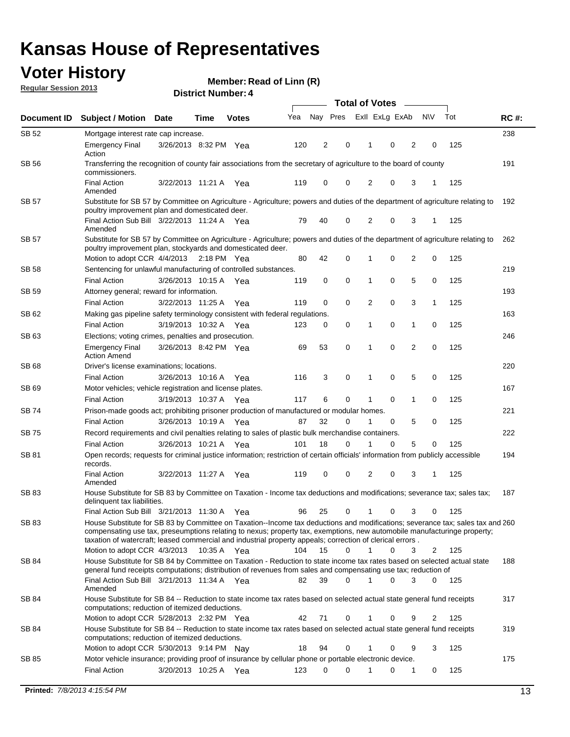### **Voter History**

**Member: Read of Linn (R)** 

**Regular Session 2013**

|              |                                                                                                                                                                                                                                                                                                                                                                         |                       |      |              |     | <b>Total of Votes</b> |          |                |             |                |                |     |             |  |
|--------------|-------------------------------------------------------------------------------------------------------------------------------------------------------------------------------------------------------------------------------------------------------------------------------------------------------------------------------------------------------------------------|-----------------------|------|--------------|-----|-----------------------|----------|----------------|-------------|----------------|----------------|-----|-------------|--|
| Document ID  | <b>Subject / Motion</b>                                                                                                                                                                                                                                                                                                                                                 | <b>Date</b>           | Time | <b>Votes</b> | Yea | Nay Pres              |          | Exll ExLg ExAb |             |                | <b>NV</b>      | Tot | <b>RC#:</b> |  |
| SB 52        | Mortgage interest rate cap increase.                                                                                                                                                                                                                                                                                                                                    |                       |      |              |     |                       |          |                |             |                |                |     | 238         |  |
|              | <b>Emergency Final</b><br>Action                                                                                                                                                                                                                                                                                                                                        | 3/26/2013 8:32 PM Yea |      |              | 120 | 2                     | 0        |                | 0           | 2              | 0              | 125 |             |  |
| <b>SB 56</b> | 191<br>Transferring the recognition of county fair associations from the secretary of agriculture to the board of county<br>commissioners.                                                                                                                                                                                                                              |                       |      |              |     |                       |          |                |             |                |                |     |             |  |
|              | <b>Final Action</b><br>Amended                                                                                                                                                                                                                                                                                                                                          | 3/22/2013 11:21 A     |      | Yea          | 119 | 0                     | 0        | 2              | 0           | 3              | 1              | 125 |             |  |
| SB 57        | Substitute for SB 57 by Committee on Agriculture - Agriculture; powers and duties of the department of agriculture relating to<br>poultry improvement plan and domesticated deer.                                                                                                                                                                                       |                       |      |              |     |                       |          |                |             |                |                |     | 192         |  |
|              | Final Action Sub Bill 3/22/2013 11:24 A Yea<br>Amended                                                                                                                                                                                                                                                                                                                  |                       |      |              | 79  | 40                    | 0        | 2              | 0           | 3              | -1             | 125 |             |  |
| SB 57        | Substitute for SB 57 by Committee on Agriculture - Agriculture; powers and duties of the department of agriculture relating to<br>poultry improvement plan, stockyards and domesticated deer.<br>Motion to adopt CCR 4/4/2013 2:18 PM Yea                                                                                                                               |                       |      |              | 80  | 42                    | 0        | 1              | 0           | $\overline{2}$ | 0              | 125 | 262         |  |
| SB 58        | Sentencing for unlawful manufacturing of controlled substances.                                                                                                                                                                                                                                                                                                         |                       |      |              |     |                       |          |                |             |                |                |     | 219         |  |
|              | <b>Final Action</b>                                                                                                                                                                                                                                                                                                                                                     | 3/26/2013 10:15 A     |      | Yea          | 119 | 0                     | 0        | 1              | 0           | 5              | 0              | 125 |             |  |
| SB 59        | Attorney general; reward for information.                                                                                                                                                                                                                                                                                                                               |                       |      |              |     |                       |          |                |             |                |                |     | 193         |  |
|              | <b>Final Action</b>                                                                                                                                                                                                                                                                                                                                                     | 3/22/2013 11:25 A     |      | Yea          | 119 | 0                     | 0        | 2              | 0           | 3              | 1              | 125 |             |  |
| SB 62        | Making gas pipeline safety terminology consistent with federal regulations.                                                                                                                                                                                                                                                                                             |                       |      |              |     |                       |          |                |             |                |                |     | 163         |  |
|              | <b>Final Action</b>                                                                                                                                                                                                                                                                                                                                                     | 3/19/2013 10:32 A Yea |      |              | 123 | 0                     | 0        | 1              | 0           | 1              | 0              | 125 |             |  |
| SB 63        | Elections; voting crimes, penalties and prosecution.                                                                                                                                                                                                                                                                                                                    |                       |      |              |     |                       |          |                |             |                |                |     | 246         |  |
|              | <b>Emergency Final</b><br><b>Action Amend</b>                                                                                                                                                                                                                                                                                                                           | 3/26/2013 8:42 PM Yea |      |              | 69  | 53                    | 0        | 1              | $\mathbf 0$ | $\overline{2}$ | $\mathbf 0$    | 125 |             |  |
| <b>SB68</b>  | Driver's license examinations; locations.                                                                                                                                                                                                                                                                                                                               |                       |      |              |     |                       |          |                |             |                |                |     | 220         |  |
|              | <b>Final Action</b>                                                                                                                                                                                                                                                                                                                                                     | 3/26/2013 10:16 A     |      | Yea          | 116 | 3                     | 0        | 1              | 0           | 5              | 0              | 125 |             |  |
| SB 69        | Motor vehicles; vehicle registration and license plates.                                                                                                                                                                                                                                                                                                                |                       |      |              |     |                       |          |                |             |                |                |     | 167         |  |
|              | <b>Final Action</b>                                                                                                                                                                                                                                                                                                                                                     | 3/19/2013 10:37 A     |      | Yea          | 117 | 6                     | 0        | 1              | 0           | $\mathbf{1}$   | 0              | 125 |             |  |
| SB 74        | Prison-made goods act; prohibiting prisoner production of manufactured or modular homes.                                                                                                                                                                                                                                                                                |                       |      |              |     |                       |          |                |             |                |                |     | 221         |  |
|              | <b>Final Action</b>                                                                                                                                                                                                                                                                                                                                                     | 3/26/2013 10:19 A     |      | Yea          | 87  | 32                    | 0        | 1              | 0           | 5              | 0              | 125 |             |  |
| SB 75        | Record requirements and civil penalties relating to sales of plastic bulk merchandise containers.                                                                                                                                                                                                                                                                       |                       |      |              |     |                       |          |                |             |                |                |     | 222         |  |
|              | <b>Final Action</b>                                                                                                                                                                                                                                                                                                                                                     | 3/26/2013 10:21 A     |      | Yea          | 101 | 18                    | 0        | 1              | 0           | 5              | 0              | 125 |             |  |
| SB 81        | Open records; requests for criminal justice information; restriction of certain officials' information from publicly accessible<br>records.                                                                                                                                                                                                                             |                       |      |              |     |                       |          |                |             |                |                |     | 194         |  |
|              | <b>Final Action</b><br>Amended                                                                                                                                                                                                                                                                                                                                          | 3/22/2013 11:27 A     |      | Yea          | 119 | 0                     | 0        | 2              | 0           | 3              | 1              | 125 |             |  |
| <b>SB83</b>  | House Substitute for SB 83 by Committee on Taxation - Income tax deductions and modifications; severance tax; sales tax;<br>delinquent tax liabilities.                                                                                                                                                                                                                 |                       |      |              |     |                       |          |                |             |                |                |     | 187         |  |
|              | Final Action Sub Bill 3/21/2013 11:30 A Yea                                                                                                                                                                                                                                                                                                                             |                       |      |              | 96  | 25                    | 0        | $\mathbf{1}$   | 0           | 3              | 0              | 125 |             |  |
| SB 83        | House Substitute for SB 83 by Committee on Taxation--Income tax deductions and modifications; severance tax; sales tax and 260<br>compensating use tax, preseumptions relating to nexus; property tax, exemptions, new automobile manufacturinge property;<br>taxation of watercraft; leased commercial and industrial property appeals; correction of clerical errors. |                       |      |              |     |                       |          |                |             |                |                |     |             |  |
|              | Motion to adopt CCR 4/3/2013 10:35 A Yea                                                                                                                                                                                                                                                                                                                                |                       |      |              | 104 | 15                    | 0        | $\mathbf{1}$   | 0           | 3              | 2              | 125 |             |  |
| SB 84        | House Substitute for SB 84 by Committee on Taxation - Reduction to state income tax rates based on selected actual state<br>general fund receipts computations; distribution of revenues from sales and compensating use tax; reduction of<br>Final Action Sub Bill 3/21/2013 11:34 A Yea                                                                               |                       |      |              |     | 39                    | $\Omega$ |                | $\Omega$    | 3              | $\mathbf{0}$   | 125 | 188         |  |
|              | Amended<br>House Substitute for SB 84 -- Reduction to state income tax rates based on selected actual state general fund receipts                                                                                                                                                                                                                                       |                       |      |              | 82  |                       |          |                |             |                |                |     |             |  |
| SB 84        | computations; reduction of itemized deductions.<br>Motion to adopt CCR 5/28/2013 2:32 PM Yea                                                                                                                                                                                                                                                                            |                       |      |              | 42  | 71                    | 0        | 1              | 0           | 9              | $\overline{2}$ | 125 | 317         |  |
|              |                                                                                                                                                                                                                                                                                                                                                                         |                       |      |              |     |                       |          |                |             |                |                |     |             |  |
| SB 84        | House Substitute for SB 84 -- Reduction to state income tax rates based on selected actual state general fund receipts<br>computations; reduction of itemized deductions.<br>Motion to adopt CCR 5/30/2013 9:14 PM Nay                                                                                                                                                  |                       |      |              | 18  | 94                    | 0        | 1              | 0           | 9              | 3              | 125 | 319         |  |
| SB 85        | Motor vehicle insurance; providing proof of insurance by cellular phone or portable electronic device.                                                                                                                                                                                                                                                                  |                       |      |              |     |                       |          |                |             |                |                |     | 175         |  |
|              | <b>Final Action</b>                                                                                                                                                                                                                                                                                                                                                     | 3/20/2013 10:25 A Yea |      |              | 123 | 0                     | $\Omega$ |                | 0           | 1              | 0              | 125 |             |  |
|              |                                                                                                                                                                                                                                                                                                                                                                         |                       |      |              |     |                       |          |                |             |                |                |     |             |  |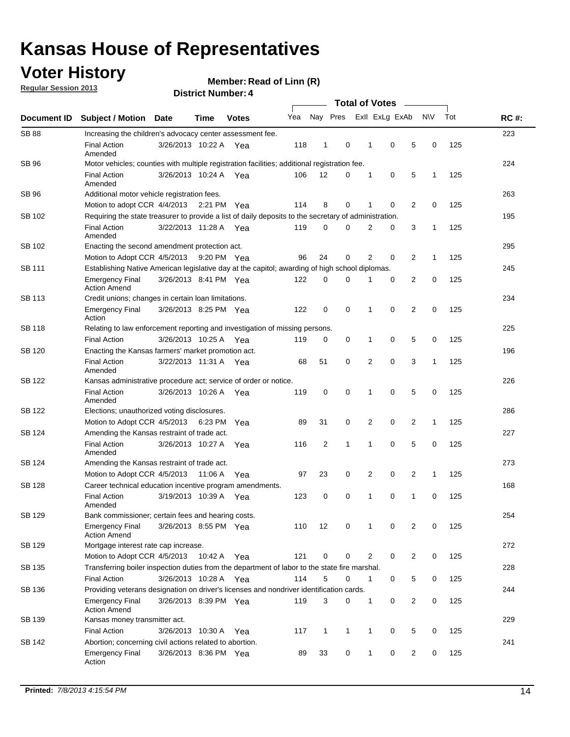### **Voter History**

**Member: Read of Linn (R)** 

**Regular Session 2013**

|                    |                                                                                                       | ר הסעוווער ועוווסוש   |             | <b>Total of Votes</b><br>$\sim$ |     |              |              |  |                |                |   |             |     |             |
|--------------------|-------------------------------------------------------------------------------------------------------|-----------------------|-------------|---------------------------------|-----|--------------|--------------|--|----------------|----------------|---|-------------|-----|-------------|
| <b>Document ID</b> | <b>Subject / Motion</b>                                                                               | Date                  | <b>Time</b> | <b>Votes</b>                    | Yea | Nay Pres     |              |  |                | Exll ExLg ExAb |   | N\V         | Tot | <b>RC#:</b> |
| <b>SB 88</b>       | Increasing the children's advocacy center assessment fee.                                             |                       |             |                                 |     |              |              |  |                |                |   |             |     | 223         |
|                    | <b>Final Action</b><br>Amended                                                                        | 3/26/2013 10:22 A Yea |             |                                 | 118 | $\mathbf 1$  | 0            |  | $\mathbf 1$    | 0              | 5 | 0           | 125 |             |
| SB 96              | Motor vehicles; counties with multiple registration facilities; additional registration fee.          |                       |             |                                 |     |              |              |  |                |                |   |             |     | 224         |
|                    | <b>Final Action</b><br>Amended                                                                        | 3/26/2013 10:24 A     |             | Yea                             | 106 | 12           | 0            |  | $\mathbf{1}$   | 0              | 5 | 1           | 125 |             |
| SB 96              | Additional motor vehicle registration fees.                                                           |                       |             |                                 |     |              |              |  |                |                |   |             |     | 263         |
|                    | Motion to adopt CCR 4/4/2013 2:21 PM Yea                                                              |                       |             |                                 | 114 | 8            | 0            |  | 1              | 0              | 2 | 0           | 125 |             |
| SB 102             | Requiring the state treasurer to provide a list of daily deposits to the secretary of administration. |                       |             |                                 |     |              |              |  |                |                |   |             |     | 195         |
|                    | <b>Final Action</b><br>Amended                                                                        | 3/22/2013 11:28 A Yea |             |                                 | 119 | 0            | 0            |  | 2              | 0              | 3 | 1           | 125 |             |
| SB 102             | Enacting the second amendment protection act.                                                         |                       |             |                                 |     |              |              |  |                |                |   |             |     | 295         |
|                    | Motion to Adopt CCR 4/5/2013 9:20 PM Yea                                                              |                       |             |                                 | 96  | 24           | 0            |  | 2              | $\Omega$       | 2 | 1           | 125 |             |
| <b>SB 111</b>      | Establishing Native American legislative day at the capitol; awarding of high school diplomas.        |                       |             |                                 |     |              |              |  |                |                |   |             |     | 245         |
|                    | <b>Emergency Final</b><br><b>Action Amend</b>                                                         | 3/26/2013 8:41 PM Yea |             |                                 | 122 | 0            | 0            |  | 1              | 0              | 2 | 0           | 125 |             |
| SB 113             | Credit unions; changes in certain loan limitations.                                                   |                       |             |                                 |     |              |              |  |                |                |   |             |     | 234         |
|                    | <b>Emergency Final</b><br>Action                                                                      | 3/26/2013 8:25 PM Yea |             |                                 | 122 | 0            | 0            |  | 1              | 0              | 2 | 0           | 125 |             |
| <b>SB 118</b>      | Relating to law enforcement reporting and investigation of missing persons.                           |                       |             |                                 |     |              |              |  |                |                |   |             |     | 225         |
|                    | <b>Final Action</b>                                                                                   | 3/26/2013 10:25 A     |             | Yea                             | 119 | 0            | 0            |  | 1              | 0              | 5 | $\mathbf 0$ | 125 |             |
| SB 120             | Enacting the Kansas farmers' market promotion act.                                                    |                       |             |                                 |     |              |              |  |                |                |   |             |     | 196         |
|                    | <b>Final Action</b><br>Amended                                                                        | 3/22/2013 11:31 A Yea |             |                                 | 68  | 51           | 0            |  | 2              | $\mathbf 0$    | 3 | 1           | 125 |             |
| SB 122             | Kansas administrative procedure act; service of order or notice.                                      |                       |             |                                 |     |              |              |  |                |                |   |             | 226 |             |
|                    | <b>Final Action</b><br>Amended                                                                        | 3/26/2013 10:26 A Yea |             |                                 | 119 | 0            | 0            |  | $\mathbf{1}$   | 0              | 5 | $\mathbf 0$ | 125 |             |
| SB 122             | Elections; unauthorized voting disclosures.                                                           |                       |             |                                 |     |              |              |  |                |                |   |             |     | 286         |
|                    | Motion to Adopt CCR 4/5/2013                                                                          |                       | 6:23 PM     | Yea                             | 89  | 31           | 0            |  | 2              | 0              | 2 | $\mathbf 1$ | 125 |             |
| SB 124             | Amending the Kansas restraint of trade act.                                                           |                       |             |                                 |     |              |              |  |                |                |   |             |     | 227         |
|                    | <b>Final Action</b><br>Amended                                                                        | 3/26/2013 10:27 A     |             | Yea                             | 116 | 2            | 1            |  | 1              | 0              | 5 | 0           | 125 |             |
| SB 124             | Amending the Kansas restraint of trade act.                                                           |                       |             |                                 |     |              |              |  |                |                |   |             |     | 273         |
|                    | Motion to Adopt CCR 4/5/2013 11:06 A                                                                  |                       |             | Yea                             | 97  | 23           | 0            |  | 2              | $\mathbf 0$    | 2 | 1           | 125 |             |
| <b>SB 128</b>      | Career technical education incentive program amendments.                                              |                       |             |                                 |     |              |              |  |                |                |   |             |     | 168         |
|                    | <b>Final Action</b><br>Amended                                                                        | 3/19/2013 10:39 A     |             | Yea                             | 123 | 0            | 0            |  | 1              | 0              | 1 | 0           | 125 |             |
| SB 129             | Bank commissioner; certain fees and hearing costs.                                                    |                       |             |                                 |     |              |              |  |                |                |   |             |     | 254         |
|                    | <b>Emergency Final</b><br><b>Action Amend</b>                                                         | 3/26/2013 8:55 PM Yea |             |                                 | 110 | 12           | 0            |  | 1              | 0              | 2 | 0           | 125 |             |
| <b>SB 129</b>      | Mortgage interest rate cap increase.                                                                  |                       |             |                                 |     |              |              |  |                |                |   |             |     | 272         |
|                    | Motion to Adopt CCR 4/5/2013 10:42 A Yea                                                              |                       |             |                                 | 121 | 0            | $\mathbf 0$  |  | $\overline{2}$ | 0              | 2 | 0           | 125 |             |
| SB 135             | Transferring boiler inspection duties from the department of labor to the state fire marshal.         |                       |             |                                 |     |              |              |  |                |                |   |             |     | 228         |
|                    | <b>Final Action</b>                                                                                   | 3/26/2013 10:28 A Yea |             |                                 | 114 | 5            | 0            |  | $\mathbf{1}$   | 0              | 5 | 0           | 125 |             |
| SB 136             | Providing veterans designation on driver's licenses and nondriver identification cards.               |                       |             |                                 |     |              |              |  |                |                |   |             |     | 244         |
|                    | <b>Emergency Final</b><br><b>Action Amend</b>                                                         | 3/26/2013 8:39 PM Yea |             |                                 | 119 | 3            | 0            |  | 1              | 0              | 2 | 0           | 125 |             |
| SB 139             | Kansas money transmitter act.                                                                         |                       |             |                                 |     |              |              |  |                |                |   |             |     | 229         |
|                    | <b>Final Action</b>                                                                                   | 3/26/2013 10:30 A     |             | Yea                             | 117 | $\mathbf{1}$ | $\mathbf{1}$ |  | $\mathbf{1}$   | 0              | 5 | 0           | 125 |             |
| SB 142             | Abortion; concerning civil actions related to abortion.                                               |                       |             |                                 |     |              |              |  |                |                |   |             |     | 241         |
|                    | <b>Emergency Final</b><br>Action                                                                      | 3/26/2013 8:36 PM Yea |             |                                 | 89  | 33           | 0            |  | $\mathbf{1}$   | 0              | 2 | 0           | 125 |             |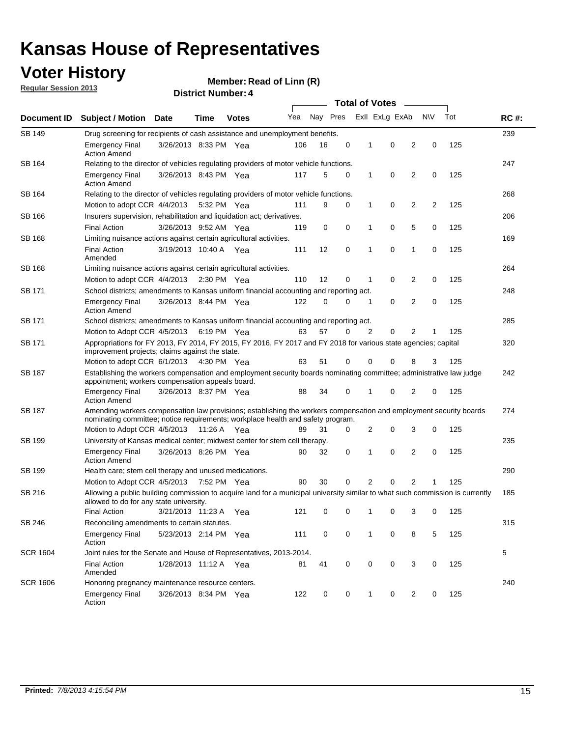### **Voter History**

**Member: Read of Linn (R)** 

**Regular Session 2013**

| Document ID     |                                                                                                                                                                                                              |                       |             |              |     | <b>Total of Votes</b> |   |              |                |                |                |     |             |  |
|-----------------|--------------------------------------------------------------------------------------------------------------------------------------------------------------------------------------------------------------|-----------------------|-------------|--------------|-----|-----------------------|---|--------------|----------------|----------------|----------------|-----|-------------|--|
|                 | Subject / Motion Date                                                                                                                                                                                        |                       | Time        | <b>Votes</b> | Yea | Nay Pres              |   |              | Exll ExLg ExAb |                | <b>NV</b>      | Tot | <b>RC#:</b> |  |
| <b>SB 149</b>   | Drug screening for recipients of cash assistance and unemployment benefits.                                                                                                                                  |                       |             |              |     |                       |   |              |                |                |                |     | 239         |  |
|                 | <b>Emergency Final</b><br><b>Action Amend</b>                                                                                                                                                                | 3/26/2013 8:33 PM Yea |             |              | 106 | 16                    | 0 | 1            | 0              | 2              | 0              | 125 |             |  |
| SB 164          | Relating to the director of vehicles regulating providers of motor vehicle functions.                                                                                                                        |                       |             |              |     |                       |   |              |                |                |                |     |             |  |
|                 | <b>Emergency Final</b><br><b>Action Amend</b>                                                                                                                                                                | 3/26/2013 8:43 PM Yea |             |              | 117 | 5                     | 0 | $\mathbf{1}$ | 0              | 2              | 0              | 125 |             |  |
| SB 164          | Relating to the director of vehicles regulating providers of motor vehicle functions.                                                                                                                        |                       |             |              |     |                       |   |              |                |                |                |     | 268         |  |
|                 | Motion to adopt CCR 4/4/2013                                                                                                                                                                                 |                       |             | 5:32 PM Yea  | 111 | 9                     | 0 | $\mathbf{1}$ | 0              | 2              | $\overline{2}$ | 125 |             |  |
| SB 166          | Insurers supervision, rehabilitation and liquidation act; derivatives.                                                                                                                                       |                       |             |              |     |                       |   |              |                |                |                |     | 206         |  |
|                 | <b>Final Action</b>                                                                                                                                                                                          | 3/26/2013 9:52 AM Yea |             |              | 119 | 0                     | 0 | 1            | 0              | 5              | 0              | 125 |             |  |
| SB 168          | Limiting nuisance actions against certain agricultural activities.                                                                                                                                           |                       |             |              |     |                       |   |              |                |                |                |     | 169         |  |
|                 | <b>Final Action</b><br>Amended                                                                                                                                                                               | 3/19/2013 10:40 A Yea |             |              | 111 | 12                    | 0 | 1            | 0              | 1              | 0              | 125 |             |  |
| <b>SB 168</b>   | Limiting nuisance actions against certain agricultural activities.                                                                                                                                           |                       |             |              |     |                       |   |              |                |                |                |     | 264         |  |
|                 | Motion to adopt CCR 4/4/2013                                                                                                                                                                                 |                       |             | 2:30 PM Yea  | 110 | 12                    | 0 | 1            | 0              | 2              | 0              | 125 |             |  |
| SB 171          | School districts; amendments to Kansas uniform financial accounting and reporting act.                                                                                                                       |                       |             |              |     |                       |   |              |                |                |                |     | 248         |  |
|                 | <b>Emergency Final</b><br><b>Action Amend</b>                                                                                                                                                                | 3/26/2013 8:44 PM Yea |             |              | 122 | 0                     | 0 | 1            | 0              | 2              | 0              | 125 |             |  |
| SB 171          | School districts; amendments to Kansas uniform financial accounting and reporting act.                                                                                                                       |                       |             |              |     |                       |   |              |                |                |                |     | 285         |  |
|                 | Motion to Adopt CCR 4/5/2013 6:19 PM Yea                                                                                                                                                                     |                       |             |              | 63  | 57                    | 0 | 2            | 0              | 2              |                | 125 |             |  |
| SB 171          | Appropriations for FY 2013, FY 2014, FY 2015, FY 2016, FY 2017 and FY 2018 for various state agencies; capital<br>improvement projects; claims against the state.                                            |                       |             |              |     |                       |   |              |                |                |                |     |             |  |
|                 | Motion to adopt CCR 6/1/2013 4:30 PM Yea                                                                                                                                                                     |                       |             |              | 63  | 51                    | 0 | 0            | 0              | 8              | 3              | 125 |             |  |
| <b>SB 187</b>   | Establishing the workers compensation and employment security boards nominating committee; administrative law judge<br>appointment; workers compensation appeals board.                                      |                       |             |              |     |                       |   |              |                |                |                |     |             |  |
|                 | <b>Emergency Final</b><br><b>Action Amend</b>                                                                                                                                                                | 3/26/2013 8:37 PM Yea |             |              | 88  | 34                    | 0 |              | 0              | 2              | 0              | 125 |             |  |
| SB 187          | Amending workers compensation law provisions; establishing the workers compensation and employment security boards<br>274<br>nominating committee; notice requirements; workplace health and safety program. |                       |             |              |     |                       |   |              |                |                |                |     |             |  |
|                 | Motion to Adopt CCR 4/5/2013 11:26 A Yea                                                                                                                                                                     |                       |             |              | 89  | 31                    | 0 | 2            | 0              | 3              | 0              | 125 |             |  |
| SB 199          | University of Kansas medical center; midwest center for stem cell therapy.                                                                                                                                   |                       |             |              |     |                       |   |              |                |                |                |     | 235         |  |
|                 | Emergency Final<br><b>Action Amend</b>                                                                                                                                                                       | 3/26/2013 8:26 PM Yea |             |              | 90  | 32                    | 0 | 1            | 0              | 2              | 0              | 125 |             |  |
| SB 199          | Health care; stem cell therapy and unused medications.                                                                                                                                                       |                       |             |              |     |                       |   |              |                |                |                |     | 290         |  |
|                 | Motion to Adopt CCR 4/5/2013                                                                                                                                                                                 |                       | 7:52 PM Yea |              | 90  | 30                    | 0 | 2            | 0              | $\overline{2}$ |                | 125 |             |  |
| SB 216          | Allowing a public building commission to acquire land for a municipal university similar to what such commission is currently<br>allowed to do for any state university.                                     |                       |             |              |     |                       |   |              |                |                |                |     | 185         |  |
|                 | <b>Final Action</b>                                                                                                                                                                                          | 3/21/2013 11:23 A Yea |             |              | 121 | 0                     | 0 | 1            | 0              | 3              | 0              | 125 |             |  |
| <b>SB 246</b>   | Reconciling amendments to certain statutes.                                                                                                                                                                  |                       |             |              |     |                       |   |              |                |                |                |     | 315         |  |
|                 | <b>Emergency Final</b><br>Action                                                                                                                                                                             | 5/23/2013 2:14 PM Yea |             |              | 111 | 0                     | 0 | 1            | 0              | 8              | 5              | 125 |             |  |
| <b>SCR 1604</b> | Joint rules for the Senate and House of Representatives, 2013-2014.                                                                                                                                          |                       |             |              |     |                       |   |              |                |                |                |     | 5           |  |
|                 | <b>Final Action</b><br>Amended                                                                                                                                                                               | 1/28/2013 11:12 A Yea |             |              | 81  | 41                    | 0 | 0            | 0              | 3              | 0              | 125 |             |  |
| <b>SCR 1606</b> | Honoring pregnancy maintenance resource centers.                                                                                                                                                             |                       |             |              |     |                       |   |              |                |                |                |     | 240         |  |
|                 | <b>Emergency Final</b><br>Action                                                                                                                                                                             | 3/26/2013 8:34 PM Yea |             |              | 122 | 0                     | 0 |              | 0              | 2              | 0              | 125 |             |  |